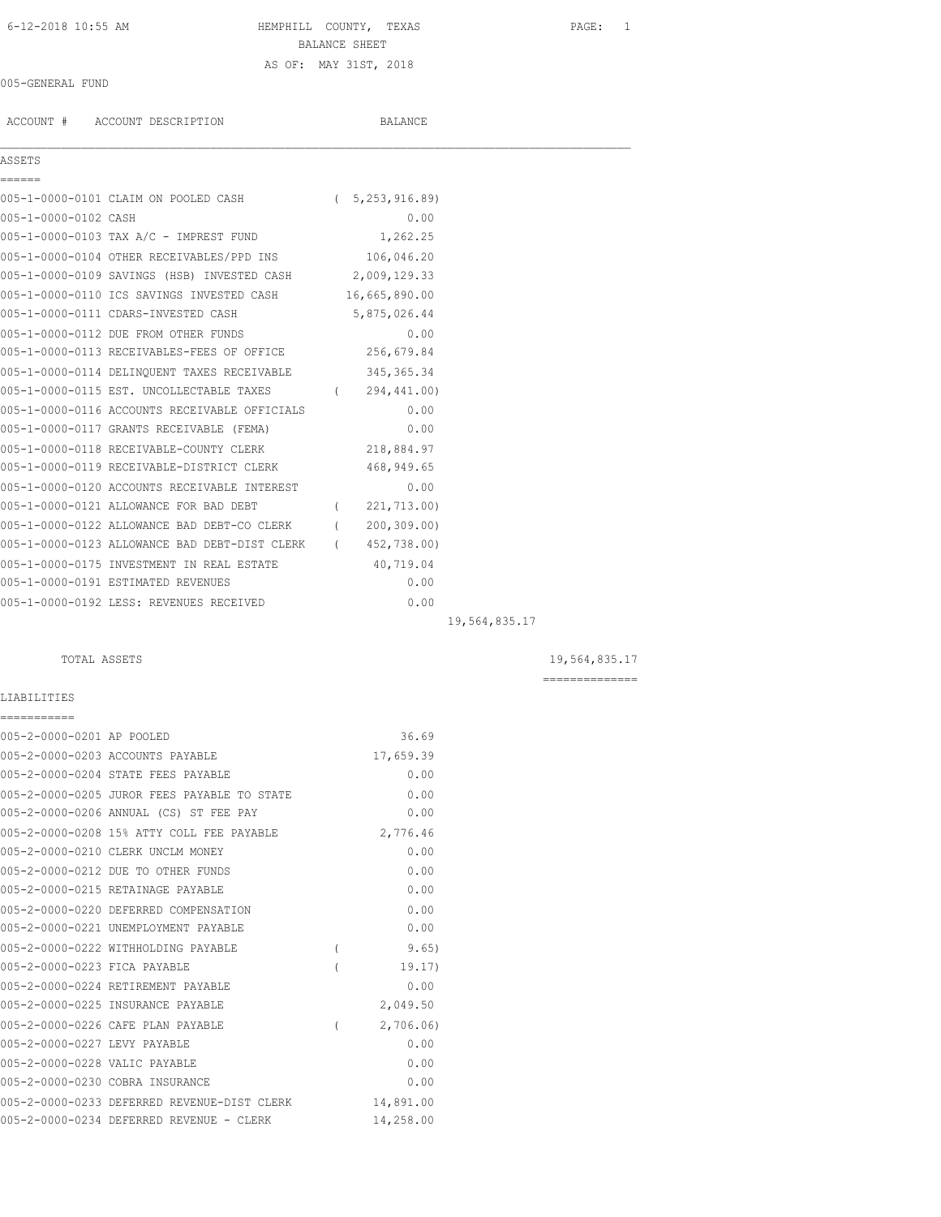# 6-12-2018 10:55 AM HEMPHILL COUNTY, TEXAS PAGE: 1 BALANCE SHEET AS OF: MAY 31ST, 2018

### 005-GENERAL FUND

ACCOUNT # ACCOUNT DESCRIPTION BALANCE

## ASSETS ======

|                      | 005-1-0000-0101 CLAIM ON POOLED CASH        | (5, 253, 916.89) |
|----------------------|---------------------------------------------|------------------|
| 005-1-0000-0102 CASH |                                             | 0.00             |
|                      | 005-1-0000-0103 TAX A/C - IMPREST FUND      | 1,262.25         |
|                      | 005-1-0000-0104 OTHER RECEIVABLES/PPD INS   | 106,046.20       |
|                      | 005-1-0000-0109 SAVINGS (HSB) INVESTED CASH | 2,009,129.33     |
|                      | 005-1-0000-0110 ICS SAVINGS INVESTED CASH   | 16,665,890.00    |

 $\mathcal{L}_\mathcal{L} = \mathcal{L}_\mathcal{L}$ 

| 005-1-0000-0111 CDARS-INVESTED CASH                   |          | 5,875,026.44 |  |
|-------------------------------------------------------|----------|--------------|--|
| 005-1-0000-0112 DUE FROM OTHER FUNDS                  |          | 0.00         |  |
| 005-1-0000-0113 RECEIVABLES-FEES OF OFFICE            |          | 256,679.84   |  |
| 005-1-0000-0114 DELINQUENT TAXES RECEIVABLE           |          | 345, 365. 34 |  |
| 005-1-0000-0115 EST. UNCOLLECTABLE TAXES (294,441.00) |          |              |  |
| 005-1-0000-0116 ACCOUNTS RECEIVABLE OFFICIALS         |          | 0.00         |  |
| 005-1-0000-0117 GRANTS RECEIVABLE (FEMA)              |          | 0.00         |  |
| 005-1-0000-0118 RECEIVABLE-COUNTY CLERK               |          | 218,884.97   |  |
| 005-1-0000-0119 RECEIVABLE-DISTRICT CLERK             |          | 468,949.65   |  |
| 005-1-0000-0120 ACCOUNTS RECEIVABLE INTEREST          |          | 0.00         |  |
| 005-1-0000-0121 ALLOWANCE FOR BAD DEBT                | $\left($ | 221,713.00)  |  |
| 005-1-0000-0122 ALLOWANCE BAD DEBT-CO CLERK           | $\left($ | 200, 309, 00 |  |
| 005-1-0000-0123 ALLOWANCE BAD DEBT-DIST CLERK (       |          | 452,738.00)  |  |
| 005-1-0000-0175 INVESTMENT IN REAL ESTATE             |          | 40,719.04    |  |
| 005-1-0000-0191 ESTIMATED REVENUES                    |          | 0.00         |  |
| 005-1-0000-0192 LESS: REVENUES RECEIVED               |          | 0.00         |  |

19,564,835.17

## TOTAL ASSETS 19,564,835.17

==============

## LIABILITIES ===========

| 005-2-0000-0201 AP POOLED     |                                             |                  | 36.69     |
|-------------------------------|---------------------------------------------|------------------|-----------|
|                               | 005-2-0000-0203 ACCOUNTS PAYABLE            |                  | 17,659.39 |
|                               | 005-2-0000-0204 STATE FEES PAYABLE          |                  | 0.00      |
|                               | 005-2-0000-0205 JUROR FEES PAYABLE TO STATE |                  | 0.00      |
|                               | 005-2-0000-0206 ANNUAL (CS) ST FEE PAY      |                  | 0.00      |
|                               | 005-2-0000-0208 15% ATTY COLL FEE PAYABLE   |                  | 2,776.46  |
|                               | 005-2-0000-0210 CLERK UNCLM MONEY           |                  | 0.00      |
|                               | 005-2-0000-0212 DUE TO OTHER FUNDS          |                  | 0.00      |
|                               | 005-2-0000-0215 RETAINAGE PAYABLE           |                  | 0.00      |
|                               | 005-2-0000-0220 DEFERRED COMPENSATION       |                  | 0.00      |
|                               | 005-2-0000-0221 UNEMPLOYMENT PAYABLE        |                  | 0.00      |
|                               | 005-2-0000-0222 WITHHOLDING PAYABLE         | $\overline{(\ }$ | 9.65)     |
| 005-2-0000-0223 FICA PAYABLE  |                                             |                  | 19.17)    |
|                               | 005-2-0000-0224 RETIREMENT PAYABLE          |                  | 0.00      |
|                               | 005-2-0000-0225 INSURANCE PAYABLE           |                  | 2,049.50  |
|                               | 005-2-0000-0226 CAFE PLAN PAYABLE           |                  | 2,706.06  |
| 005-2-0000-0227 LEVY PAYABLE  |                                             |                  | 0.00      |
| 005-2-0000-0228 VALIC PAYABLE |                                             |                  | 0.00      |
|                               | 005-2-0000-0230 COBRA INSURANCE             |                  | 0.00      |
|                               | 005-2-0000-0233 DEFERRED REVENUE-DIST CLERK |                  | 14,891.00 |
|                               | 005-2-0000-0234 DEFERRED REVENUE - CLERK    |                  | 14,258.00 |
|                               |                                             |                  |           |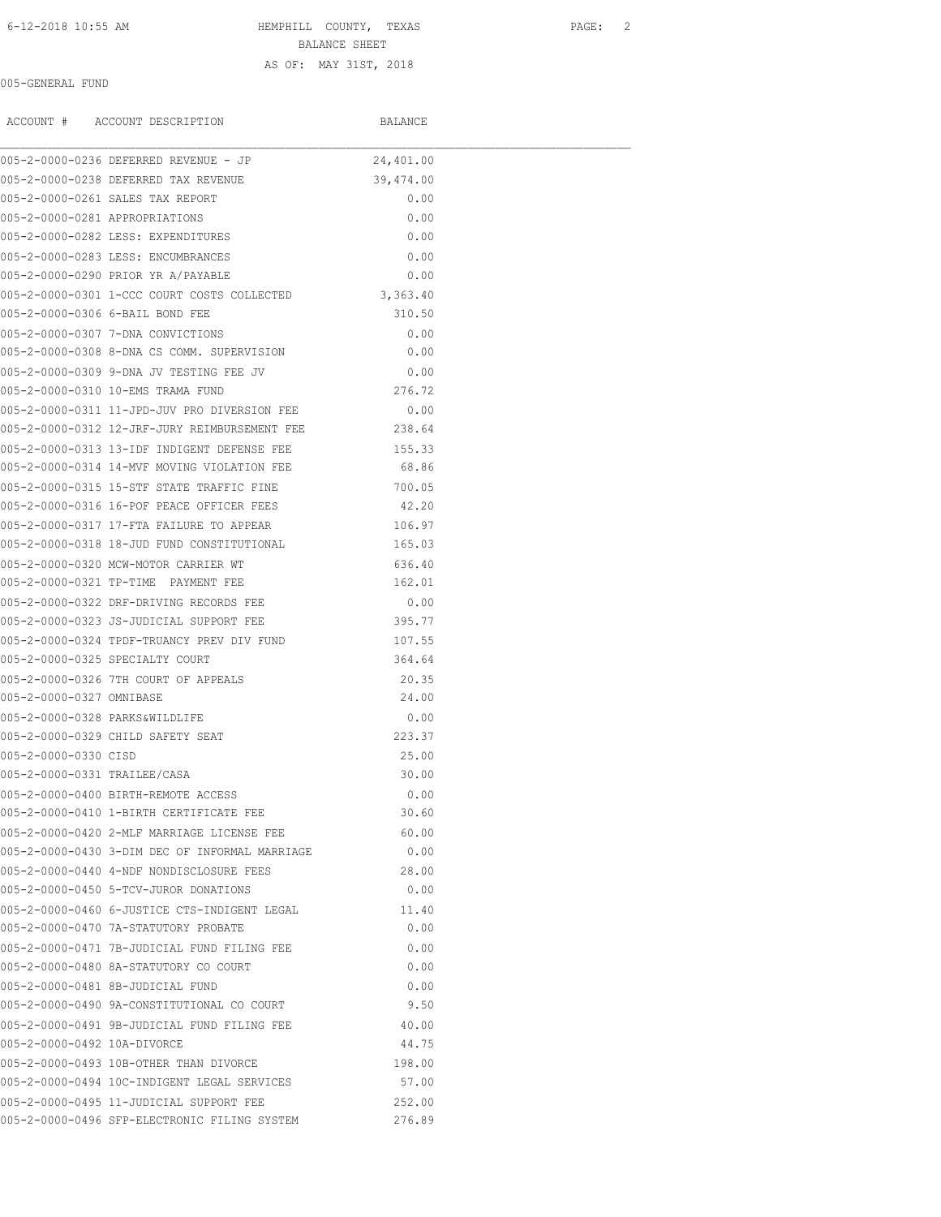# 6-12-2018 10:55 AM HEMPHILL COUNTY, TEXAS PAGE: 2 BALANCE SHEET AS OF: MAY 31ST, 2018

## 005-GENERAL FUND

ACCOUNT # ACCOUNT DESCRIPTION BALANCE

|                                | 005-2-0000-0236 DEFERRED REVENUE - JP          | 24,401.00 |  |
|--------------------------------|------------------------------------------------|-----------|--|
|                                | 005-2-0000-0238 DEFERRED TAX REVENUE           | 39,474.00 |  |
|                                | 005-2-0000-0261 SALES TAX REPORT               | 0.00      |  |
| 005-2-0000-0281 APPROPRIATIONS |                                                | 0.00      |  |
|                                | 005-2-0000-0282 LESS: EXPENDITURES             | 0.00      |  |
|                                | 005-2-0000-0283 LESS: ENCUMBRANCES             | 0.00      |  |
|                                | 005-2-0000-0290 PRIOR YR A/PAYABLE             | 0.00      |  |
|                                | 005-2-0000-0301 1-CCC COURT COSTS COLLECTED    | 3,363.40  |  |
|                                | 005-2-0000-0306 6-BAIL BOND FEE                | 310.50    |  |
|                                | 005-2-0000-0307 7-DNA CONVICTIONS              | 0.00      |  |
|                                | 005-2-0000-0308 8-DNA CS COMM. SUPERVISION     | 0.00      |  |
|                                | 005-2-0000-0309 9-DNA JV TESTING FEE JV        | 0.00      |  |
|                                | 005-2-0000-0310 10-EMS TRAMA FUND              | 276.72    |  |
|                                | 005-2-0000-0311 11-JPD-JUV PRO DIVERSION FEE   | 0.00      |  |
|                                | 005-2-0000-0312 12-JRF-JURY REIMBURSEMENT FEE  | 238.64    |  |
|                                | 005-2-0000-0313 13-IDF INDIGENT DEFENSE FEE    | 155.33    |  |
|                                | 005-2-0000-0314 14-MVF MOVING VIOLATION FEE    | 68.86     |  |
|                                | 005-2-0000-0315 15-STF STATE TRAFFIC FINE      | 700.05    |  |
|                                | 005-2-0000-0316 16-POF PEACE OFFICER FEES      | 42.20     |  |
|                                | 005-2-0000-0317 17-FTA FAILURE TO APPEAR       | 106.97    |  |
|                                | 005-2-0000-0318 18-JUD FUND CONSTITUTIONAL     | 165.03    |  |
|                                | 005-2-0000-0320 MCW-MOTOR CARRIER WT           | 636.40    |  |
|                                | 005-2-0000-0321 TP-TIME PAYMENT FEE            | 162.01    |  |
|                                | 005-2-0000-0322 DRF-DRIVING RECORDS FEE        | 0.00      |  |
|                                | 005-2-0000-0323 JS-JUDICIAL SUPPORT FEE        | 395.77    |  |
|                                | 005-2-0000-0324 TPDF-TRUANCY PREV DIV FUND     | 107.55    |  |
|                                | 005-2-0000-0325 SPECIALTY COURT                | 364.64    |  |
|                                | 005-2-0000-0326 7TH COURT OF APPEALS           | 20.35     |  |
| 005-2-0000-0327 OMNIBASE       |                                                | 24.00     |  |
|                                | 005-2-0000-0328 PARKS&WILDLIFE                 | 0.00      |  |
|                                | 005-2-0000-0329 CHILD SAFETY SEAT              | 223.37    |  |
| 005-2-0000-0330 CTSD           |                                                | 25.00     |  |
| 005-2-0000-0331 TRAILEE/CASA   |                                                | 30.00     |  |
|                                | 005-2-0000-0400 BIRTH-REMOTE ACCESS            | 0.00      |  |
|                                | 005-2-0000-0410 1-BIRTH CERTIFICATE FEE        | 30.60     |  |
|                                | 005-2-0000-0420 2-MLF MARRIAGE LICENSE FEE     | 60.00     |  |
|                                | 005-2-0000-0430 3-DIM DEC OF INFORMAL MARRIAGE | 0.00      |  |
|                                | 005-2-0000-0440 4-NDF NONDISCLOSURE FEES       | 28.00     |  |
|                                | 005-2-0000-0450 5-TCV-JUROR DONATIONS          | 0.00      |  |
|                                | 005-2-0000-0460 6-JUSTICE CTS-INDIGENT LEGAL   | 11.40     |  |
|                                | 005-2-0000-0470 7A-STATUTORY PROBATE           | 0.00      |  |
|                                | 005-2-0000-0471 7B-JUDICIAL FUND FILING FEE    | 0.00      |  |
|                                | 005-2-0000-0480 8A-STATUTORY CO COURT          | 0.00      |  |
|                                | 005-2-0000-0481 8B-JUDICIAL FUND               | 0.00      |  |
|                                | 005-2-0000-0490 9A-CONSTITUTIONAL CO COURT     | 9.50      |  |
|                                | 005-2-0000-0491 9B-JUDICIAL FUND FILING FEE    | 40.00     |  |
| 005-2-0000-0492 10A-DIVORCE    |                                                | 44.75     |  |
|                                | 005-2-0000-0493 10B-OTHER THAN DIVORCE         | 198.00    |  |
|                                | 005-2-0000-0494 10C-INDIGENT LEGAL SERVICES    | 57.00     |  |
|                                | 005-2-0000-0495 11-JUDICIAL SUPPORT FEE        | 252.00    |  |
|                                | 005-2-0000-0496 SFP-ELECTRONIC FILING SYSTEM   | 276.89    |  |
|                                |                                                |           |  |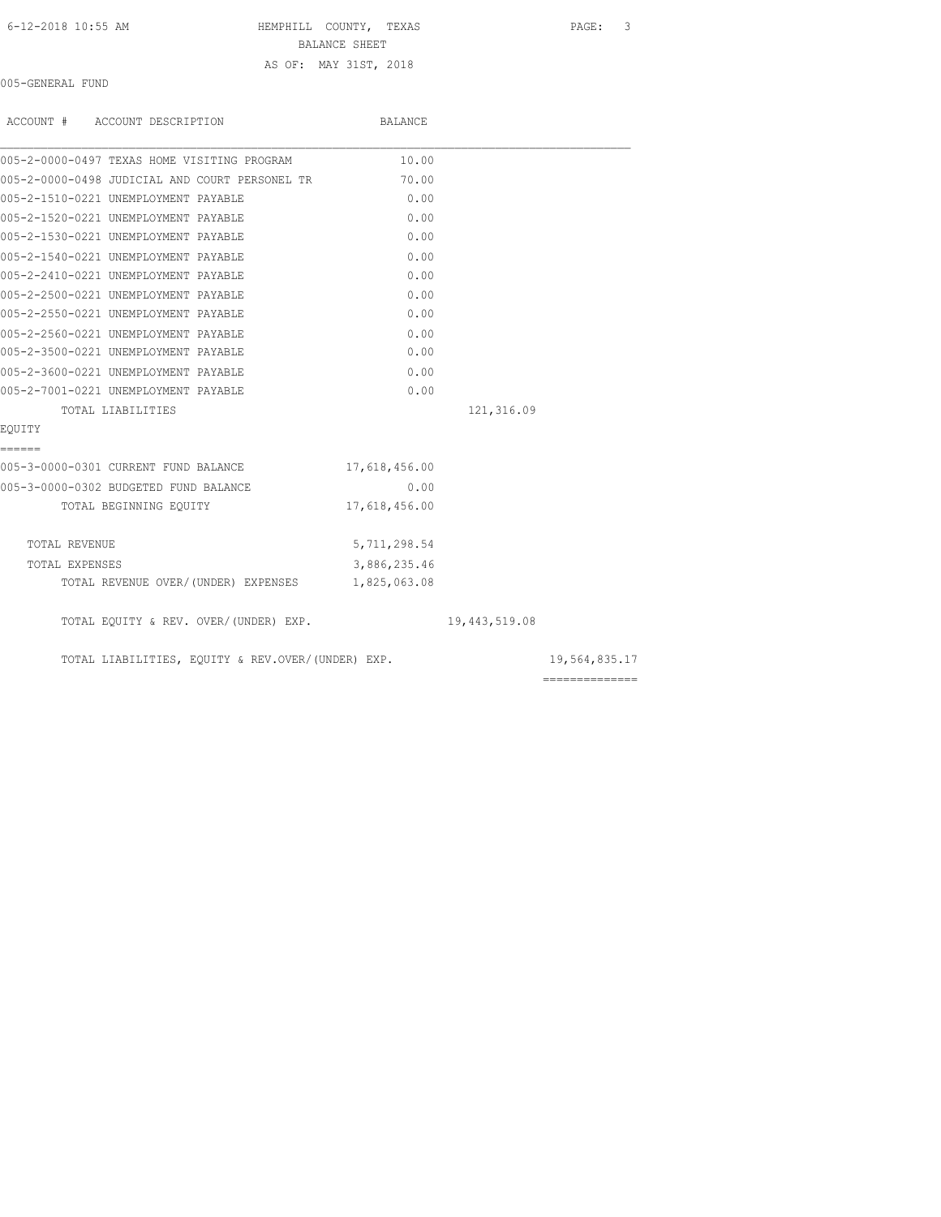6-12-2018 10:55 AM HEMPHILL COUNTY, TEXAS PAGE: 3

BALANCE SHEET AS OF: MAY 31ST, 2018

005-GENERAL FUND

| ACCOUNT # ACCOUNT DESCRIPTION                     | BALANCE       |               |               |
|---------------------------------------------------|---------------|---------------|---------------|
| 005-2-0000-0497 TEXAS HOME VISITING PROGRAM       | 10.00         |               |               |
| 005-2-0000-0498 JUDICIAL AND COURT PERSONEL TR    | 70.00         |               |               |
| 005-2-1510-0221 UNEMPLOYMENT PAYABLE              | 0.00          |               |               |
| 005-2-1520-0221 UNEMPLOYMENT PAYABLE              | 0.00          |               |               |
| 005-2-1530-0221 UNEMPLOYMENT PAYABLE              | 0.00          |               |               |
| 005-2-1540-0221 UNEMPLOYMENT PAYABLE              | 0.00          |               |               |
| 005-2-2410-0221 UNEMPLOYMENT PAYABLE              | 0.00          |               |               |
| 005-2-2500-0221 UNEMPLOYMENT PAYABLE              | 0.00          |               |               |
| 005-2-2550-0221 UNEMPLOYMENT PAYABLE              | 0.00          |               |               |
| 005-2-2560-0221 UNEMPLOYMENT PAYABLE              | 0.00          |               |               |
| 005-2-3500-0221 UNEMPLOYMENT PAYABLE              | 0.00          |               |               |
| 005-2-3600-0221 UNEMPLOYMENT PAYABLE              | 0.00          |               |               |
| 005-2-7001-0221 UNEMPLOYMENT PAYABLE              | 0.00          |               |               |
| TOTAL LIABILITIES                                 |               | 121,316.09    |               |
| EOUITY                                            |               |               |               |
| ======                                            |               |               |               |
| 005-3-0000-0301 CURRENT FUND BALANCE              | 17,618,456.00 |               |               |
| 005-3-0000-0302 BUDGETED FUND BALANCE             | 0.00          |               |               |
| TOTAL BEGINNING EQUITY                            | 17,618,456.00 |               |               |
| TOTAL REVENUE                                     | 5,711,298.54  |               |               |
| TOTAL EXPENSES                                    | 3,886,235.46  |               |               |
| TOTAL REVENUE OVER/(UNDER) EXPENSES               | 1,825,063.08  |               |               |
| TOTAL EQUITY & REV. OVER/(UNDER) EXP.             |               | 19,443,519.08 |               |
| TOTAL LIABILITIES, EQUITY & REV.OVER/(UNDER) EXP. |               |               | 19,564,835.17 |
|                                                   |               |               |               |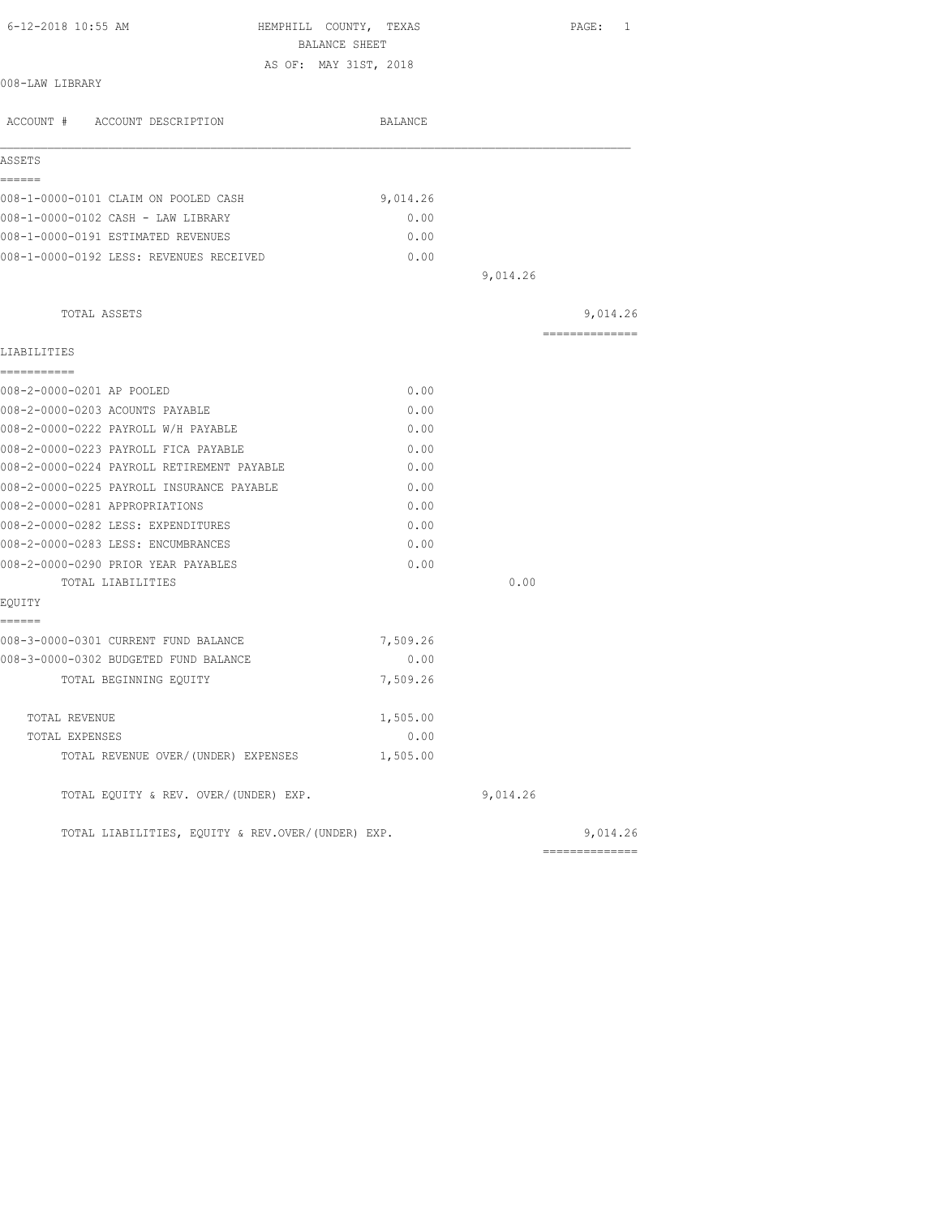| 6-12-2018 10:55 AM                                | HEMPHILL COUNTY, TEXAS<br>BALANCE SHEET |          | PAGE: 1         |
|---------------------------------------------------|-----------------------------------------|----------|-----------------|
|                                                   | AS OF: MAY 31ST, 2018                   |          |                 |
| 008-LAW LIBRARY                                   |                                         |          |                 |
| ACCOUNT # ACCOUNT DESCRIPTION                     | BALANCE                                 |          |                 |
| ASSETS                                            |                                         |          |                 |
| ======<br>008-1-0000-0101 CLAIM ON POOLED CASH    | 9,014.26                                |          |                 |
| 008-1-0000-0102 CASH - LAW LIBRARY                | 0.00                                    |          |                 |
| 008-1-0000-0191 ESTIMATED REVENUES                | 0.00                                    |          |                 |
| 008-1-0000-0192 LESS: REVENUES RECEIVED           | 0.00                                    |          |                 |
|                                                   |                                         | 9,014.26 |                 |
|                                                   |                                         |          |                 |
| TOTAL ASSETS                                      |                                         |          | 9,014.26        |
| LIABILITIES                                       |                                         |          | --------------- |
| -----------                                       |                                         |          |                 |
| 008-2-0000-0201 AP POOLED                         | 0.00                                    |          |                 |
| 008-2-0000-0203 ACOUNTS PAYABLE                   | 0.00                                    |          |                 |
| 008-2-0000-0222 PAYROLL W/H PAYABLE               | 0.00                                    |          |                 |
| 008-2-0000-0223 PAYROLL FICA PAYABLE              | 0.00                                    |          |                 |
| 008-2-0000-0224 PAYROLL RETIREMENT PAYABLE        | 0.00                                    |          |                 |
| 008-2-0000-0225 PAYROLL INSURANCE PAYABLE         | 0.00                                    |          |                 |
| 008-2-0000-0281 APPROPRIATIONS                    | 0.00                                    |          |                 |
| 008-2-0000-0282 LESS: EXPENDITURES                | 0.00                                    |          |                 |
| 008-2-0000-0283 LESS: ENCUMBRANCES                | 0.00                                    |          |                 |
| 008-2-0000-0290 PRIOR YEAR PAYABLES               | 0.00                                    |          |                 |
| TOTAL LIABILITIES                                 |                                         | 0.00     |                 |
| EQUITY<br>======                                  |                                         |          |                 |
| 008-3-0000-0301 CURRENT FUND BALANCE              | 7,509.26                                |          |                 |
| 008-3-0000-0302 BUDGETED FUND BALANCE             | 0.00                                    |          |                 |
| TOTAL BEGINNING EOUITY                            | 7,509.26                                |          |                 |
| TOTAL REVENUE                                     | 1,505.00                                |          |                 |
| TOTAL EXPENSES                                    | 0.00                                    |          |                 |
| TOTAL REVENUE OVER/(UNDER) EXPENSES               | 1,505.00                                |          |                 |
| TOTAL EQUITY & REV. OVER/(UNDER) EXP.             |                                         | 9,014.26 |                 |
| TOTAL LIABILITIES, EQUITY & REV.OVER/(UNDER) EXP. |                                         |          | 9,014.26        |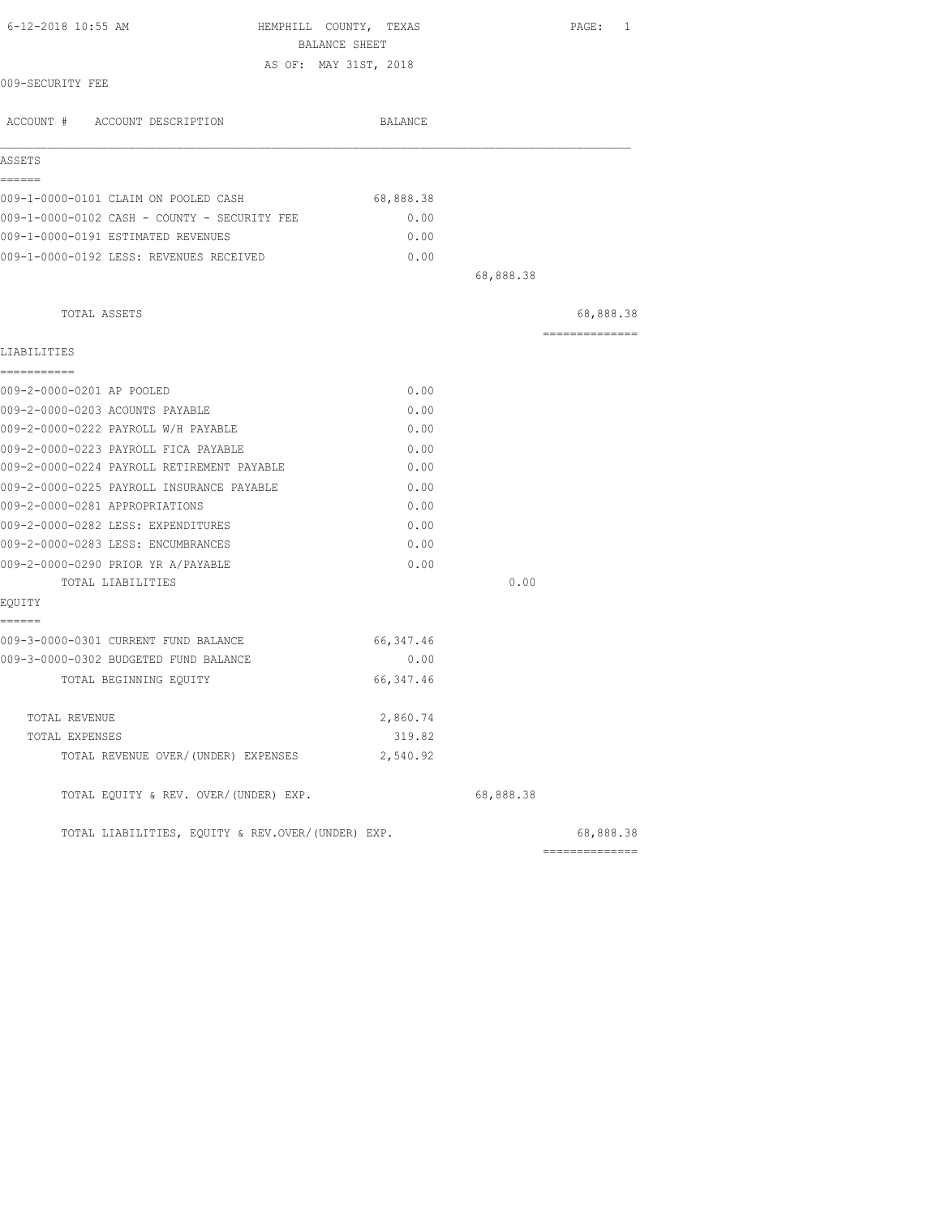| 6-12-2018 10:55 AM<br>HEMPHILL COUNTY, TEXAS<br>BALANCE SHEET |            |           | PAGE: 1                      |
|---------------------------------------------------------------|------------|-----------|------------------------------|
| AS OF: MAY 31ST, 2018                                         |            |           |                              |
| 009-SECURITY FEE                                              |            |           |                              |
| ACCOUNT # ACCOUNT DESCRIPTION                                 | BALANCE    |           |                              |
| ASSETS                                                        |            |           |                              |
| ======<br>009-1-0000-0101 CLAIM ON POOLED CASH                | 68,888.38  |           |                              |
| 009-1-0000-0102 CASH - COUNTY - SECURITY FEE                  | 0.00       |           |                              |
| 009-1-0000-0191 ESTIMATED REVENUES                            | 0.00       |           |                              |
| 009-1-0000-0192 LESS: REVENUES RECEIVED                       | 0.00       |           |                              |
|                                                               |            | 68,888.38 |                              |
| TOTAL ASSETS                                                  |            |           | 68,888.38                    |
|                                                               |            |           | ===============              |
| LIABILITIES                                                   |            |           |                              |
| -----------<br>009-2-0000-0201 AP POOLED                      | 0.00       |           |                              |
| 009-2-0000-0203 ACOUNTS PAYABLE                               | 0.00       |           |                              |
| 009-2-0000-0222 PAYROLL W/H PAYABLE                           | 0.00       |           |                              |
| 009-2-0000-0223 PAYROLL FICA PAYABLE                          | 0.00       |           |                              |
| 009-2-0000-0224 PAYROLL RETIREMENT PAYABLE                    | 0.00       |           |                              |
| 009-2-0000-0225 PAYROLL INSURANCE PAYABLE                     | 0.00       |           |                              |
| 009-2-0000-0281 APPROPRIATIONS                                | 0.00       |           |                              |
| 009-2-0000-0282 LESS: EXPENDITURES                            | 0.00       |           |                              |
| 009-2-0000-0283 LESS: ENCUMBRANCES                            | 0.00       |           |                              |
| 009-2-0000-0290 PRIOR YR A/PAYABLE                            | 0.00       |           |                              |
| TOTAL LIABILITIES                                             |            | 0.00      |                              |
| EQUITY                                                        |            |           |                              |
| ======<br>009-3-0000-0301 CURRENT FUND BALANCE                | 66,347.46  |           |                              |
| 009-3-0000-0302 BUDGETED FUND BALANCE                         | 0.00       |           |                              |
| TOTAL BEGINNING EQUITY                                        | 66, 347.46 |           |                              |
| TOTAL REVENUE                                                 | 2,860.74   |           |                              |
| TOTAL EXPENSES                                                | 319.82     |           |                              |
| TOTAL REVENUE OVER/(UNDER) EXPENSES                           | 2,540.92   |           |                              |
| TOTAL EQUITY & REV. OVER/(UNDER) EXP.                         |            | 68,888.38 |                              |
| TOTAL LIABILITIES, EQUITY & REV.OVER/(UNDER) EXP.             |            |           | 68,888.38<br>--------------- |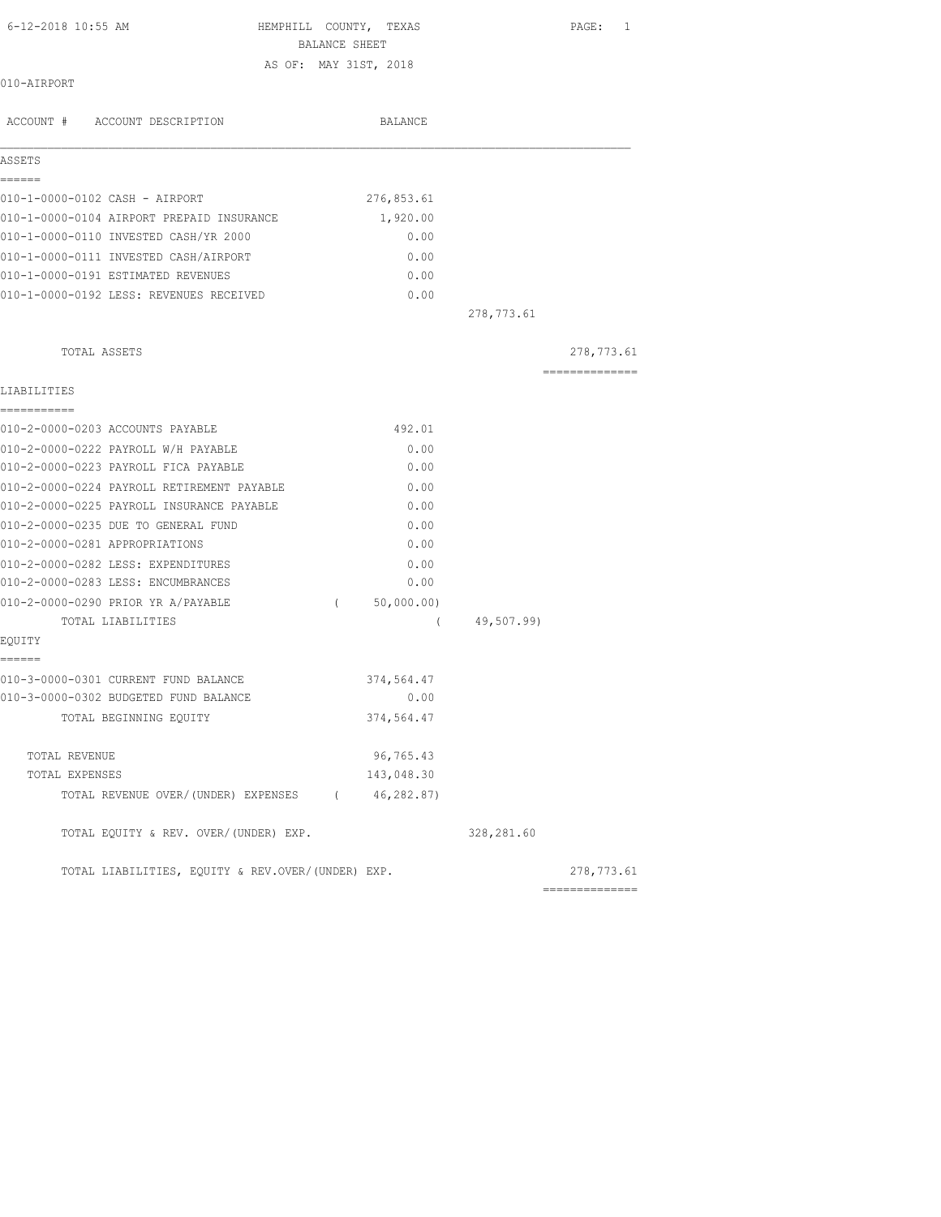| 6-12-2018 10:55 AM                                | BALANCE SHEET | HEMPHILL COUNTY, TEXAS |            | $\mathtt{PAGE}$ :<br>1 |
|---------------------------------------------------|---------------|------------------------|------------|------------------------|
|                                                   |               | AS OF: MAY 31ST, 2018  |            |                        |
| 010-AIRPORT                                       |               |                        |            |                        |
| ACCOUNT # ACCOUNT DESCRIPTION                     |               | BALANCE                |            |                        |
| ASSETS                                            |               |                        |            |                        |
| ------                                            |               |                        |            |                        |
| 010-1-0000-0102 CASH - AIRPORT                    |               | 276,853.61             |            |                        |
| 010-1-0000-0104 AIRPORT PREPAID INSURANCE         |               | 1,920.00               |            |                        |
| 010-1-0000-0110 INVESTED CASH/YR 2000             |               | 0.00                   |            |                        |
| 010-1-0000-0111 INVESTED CASH/AIRPORT             |               | 0.00                   |            |                        |
| 010-1-0000-0191 ESTIMATED REVENUES                |               | 0.00                   |            |                        |
| 010-1-0000-0192 LESS: REVENUES RECEIVED           |               | 0.00                   |            |                        |
|                                                   |               |                        | 278,773.61 |                        |
| TOTAL ASSETS                                      |               |                        |            | 278,773.61             |
| LIABILITIES                                       |               |                        |            | ---------------        |
| ------------                                      |               |                        |            |                        |
| 010-2-0000-0203 ACCOUNTS PAYABLE                  |               | 492.01                 |            |                        |
| 010-2-0000-0222 PAYROLL W/H PAYABLE               |               | 0.00                   |            |                        |
| 010-2-0000-0223 PAYROLL FICA PAYABLE              |               | 0.00                   |            |                        |
| 010-2-0000-0224 PAYROLL RETIREMENT PAYABLE        |               | 0.00                   |            |                        |
| 010-2-0000-0225 PAYROLL INSURANCE PAYABLE         |               | 0.00                   |            |                        |
| 010-2-0000-0235 DUE TO GENERAL FUND               |               | 0.00                   |            |                        |
| 010-2-0000-0281 APPROPRIATIONS                    |               | 0.00                   |            |                        |
| 010-2-0000-0282 LESS: EXPENDITURES                |               | 0.00                   |            |                        |
| 010-2-0000-0283 LESS: ENCUMBRANCES                |               | 0.00                   |            |                        |
| 010-2-0000-0290 PRIOR YR A/PAYABLE                |               | (50,000.00)            |            |                        |
| TOTAL LIABILITIES                                 |               | $\left($               | 49,507.99) |                        |
| EOUITY<br>------                                  |               |                        |            |                        |
| 010-3-0000-0301 CURRENT FUND BALANCE              |               | 374,564.47             |            |                        |
| 010-3-0000-0302 BUDGETED FUND BALANCE             |               | 0.00                   |            |                        |
| TOTAL BEGINNING EQUITY                            |               | 374,564.47             |            |                        |
| TOTAL REVENUE                                     |               | 96,765.43              |            |                        |
| TOTAL EXPENSES                                    |               | 143,048.30             |            |                        |
| TOTAL REVENUE OVER/(UNDER) EXPENSES               | $\left($      | 46,282.87)             |            |                        |
| TOTAL EQUITY & REV. OVER/(UNDER) EXP.             |               |                        | 328,281.60 |                        |
| TOTAL LIABILITIES, EQUITY & REV.OVER/(UNDER) EXP. |               |                        |            | 278,773.61             |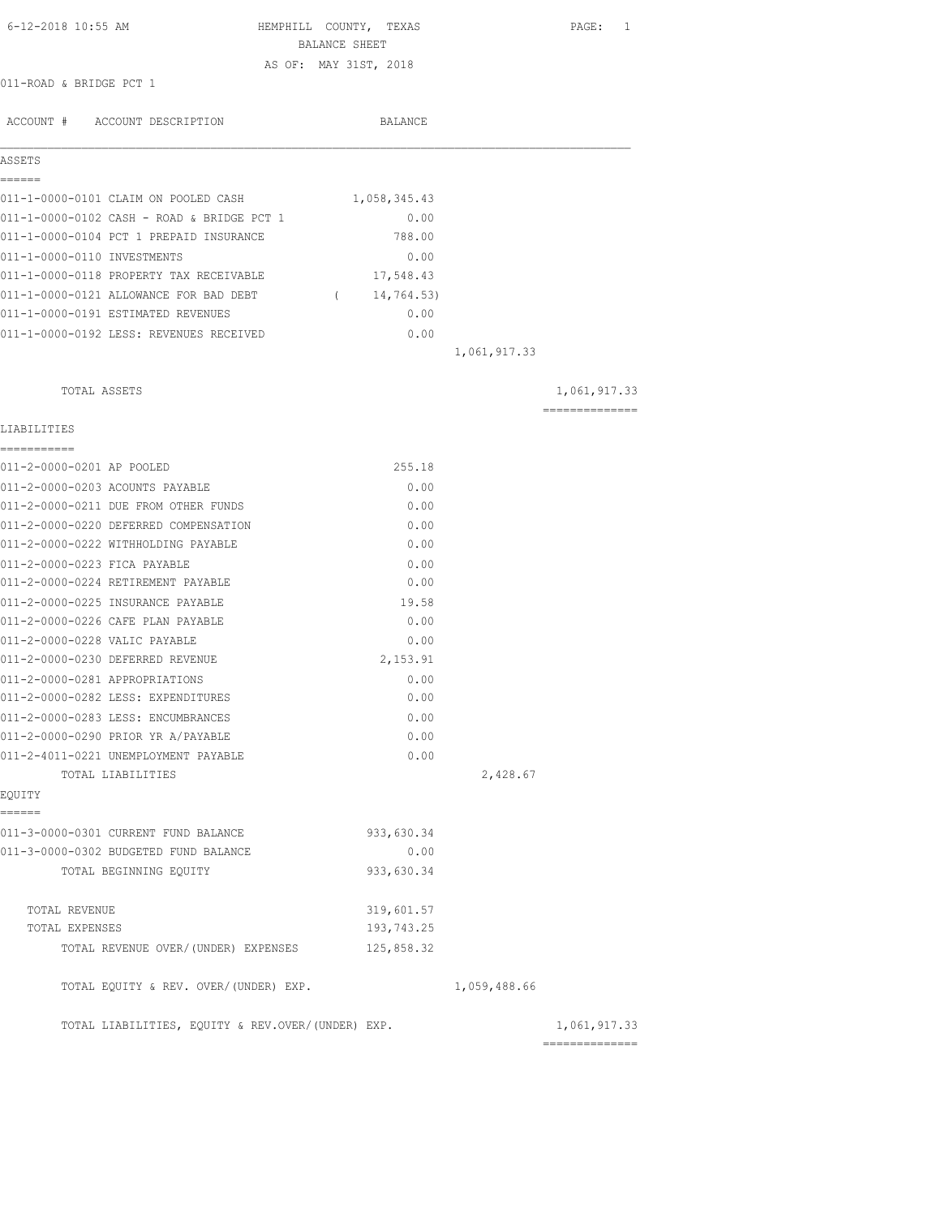| 6-12-2018 10:55 AM                                    | HEMPHILL COUNTY, TEXAS<br>BALANCE SHEET |              | PAGE: 1        |
|-------------------------------------------------------|-----------------------------------------|--------------|----------------|
|                                                       | AS OF: MAY 31ST, 2018                   |              |                |
| 011-ROAD & BRIDGE PCT 1                               |                                         |              |                |
| ACCOUNT # ACCOUNT DESCRIPTION                         | <b>BALANCE</b>                          |              |                |
| ASSETS                                                |                                         |              |                |
| ======                                                |                                         |              |                |
| 011-1-0000-0101 CLAIM ON POOLED CASH                  | 1,058,345.43                            |              |                |
| 011-1-0000-0102 CASH - ROAD & BRIDGE PCT 1            | 0.00                                    |              |                |
| 011-1-0000-0104 PCT 1 PREPAID INSURANCE               | 788.00                                  |              |                |
| 011-1-0000-0110 INVESTMENTS                           | 0.00                                    |              |                |
| 011-1-0000-0118 PROPERTY TAX RECEIVABLE               | 17,548.43                               |              |                |
| 011-1-0000-0121 ALLOWANCE FOR BAD DEBT                | (14, 764.53)                            |              |                |
| 011-1-0000-0191 ESTIMATED REVENUES                    | 0.00                                    |              |                |
| 011-1-0000-0192 LESS: REVENUES RECEIVED               | 0.00                                    |              |                |
|                                                       |                                         | 1,061,917.33 |                |
| TOTAL ASSETS                                          |                                         |              | 1,061,917.33   |
| LIABILITIES                                           |                                         |              | -------------- |
| ===========                                           |                                         |              |                |
| 011-2-0000-0201 AP POOLED                             | 255.18                                  |              |                |
| 011-2-0000-0203 ACOUNTS PAYABLE                       | 0.00                                    |              |                |
| 011-2-0000-0211 DUE FROM OTHER FUNDS                  | 0.00                                    |              |                |
| 011-2-0000-0220 DEFERRED COMPENSATION                 | 0.00                                    |              |                |
| 011-2-0000-0222 WITHHOLDING PAYABLE                   | 0.00                                    |              |                |
| 011-2-0000-0223 FICA PAYABLE                          | 0.00                                    |              |                |
| 011-2-0000-0224 RETIREMENT PAYABLE                    | 0.00                                    |              |                |
| 011-2-0000-0225 INSURANCE PAYABLE                     | 19.58                                   |              |                |
| 011-2-0000-0226 CAFE PLAN PAYABLE                     | 0.00                                    |              |                |
| 011-2-0000-0228 VALIC PAYABLE                         | 0.00                                    |              |                |
| 011-2-0000-0230 DEFERRED REVENUE                      | 2,153.91                                |              |                |
| 011-2-0000-0281 APPROPRIATIONS                        | 0.00                                    |              |                |
| 011-2-0000-0282 LESS: EXPENDITURES                    | 0.00                                    |              |                |
| 011-2-0000-0283 LESS: ENCUMBRANCES                    | 0.00                                    |              |                |
| 011-2-0000-0290 PRIOR YR A/PAYABLE                    | 0.00                                    |              |                |
| 011-2-4011-0221 UNEMPLOYMENT PAYABLE                  | 0.00                                    |              |                |
| TOTAL LIABILITIES                                     |                                         | 2,428.67     |                |
| EQUITY<br>======                                      |                                         |              |                |
| 011-3-0000-0301 CURRENT FUND BALANCE                  | 933,630.34                              |              |                |
| 011-3-0000-0302 BUDGETED FUND BALANCE                 | 0.00                                    |              |                |
| TOTAL BEGINNING EQUITY                                | 933,630.34                              |              |                |
|                                                       |                                         |              |                |
| TOTAL REVENUE                                         | 319,601.57                              |              |                |
| TOTAL EXPENSES<br>TOTAL REVENUE OVER/(UNDER) EXPENSES | 193,743.25<br>125,858.32                |              |                |
|                                                       |                                         |              |                |
| TOTAL EQUITY & REV. OVER/(UNDER) EXP.                 |                                         | 1,059,488.66 |                |
| TOTAL LIABILITIES, EQUITY & REV.OVER/(UNDER) EXP.     |                                         |              | 1,061,917.33   |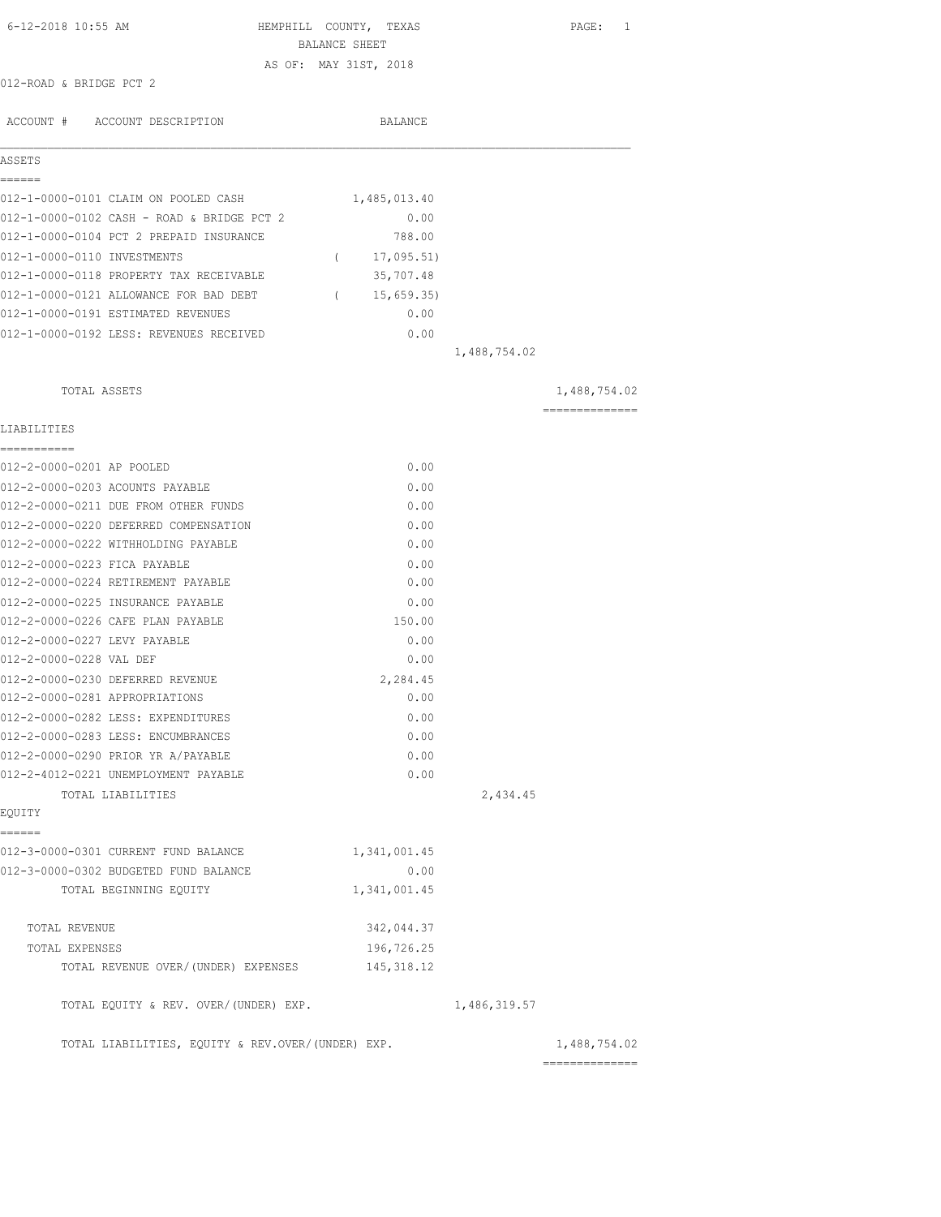| 6-12-2018 10:55 AM                                | HEMPHILL COUNTY, TEXAS<br>BALANCE SHEET |              | PAGE: 1        |
|---------------------------------------------------|-----------------------------------------|--------------|----------------|
|                                                   | AS OF: MAY 31ST, 2018                   |              |                |
| 012-ROAD & BRIDGE PCT 2                           |                                         |              |                |
| ACCOUNT # ACCOUNT DESCRIPTION                     | BALANCE                                 |              |                |
| ASSETS                                            |                                         |              |                |
| ======                                            |                                         |              |                |
| 012-1-0000-0101 CLAIM ON POOLED CASH              | 1,485,013.40                            |              |                |
| 012-1-0000-0102 CASH - ROAD & BRIDGE PCT 2        | 0.00                                    |              |                |
| 012-1-0000-0104 PCT 2 PREPAID INSURANCE           | 788.00                                  |              |                |
| 012-1-0000-0110 INVESTMENTS                       | (17, 095.51)                            |              |                |
| 012-1-0000-0118 PROPERTY TAX RECEIVABLE           | 35,707.48                               |              |                |
| 012-1-0000-0121 ALLOWANCE FOR BAD DEBT            | 15,659.35)<br>$\sqrt{2}$                |              |                |
| 012-1-0000-0191 ESTIMATED REVENUES                | 0.00                                    |              |                |
| 012-1-0000-0192 LESS: REVENUES RECEIVED           | 0.00                                    |              |                |
|                                                   |                                         | 1,488,754.02 |                |
| TOTAL ASSETS                                      |                                         |              | 1,488,754.02   |
| LIABILITIES                                       |                                         |              | ============== |
| -----------<br>012-2-0000-0201 AP POOLED          | 0.00                                    |              |                |
| 012-2-0000-0203 ACOUNTS PAYABLE                   | 0.00                                    |              |                |
| 012-2-0000-0211 DUE FROM OTHER FUNDS              | 0.00                                    |              |                |
| 012-2-0000-0220 DEFERRED COMPENSATION             | 0.00                                    |              |                |
| 012-2-0000-0222 WITHHOLDING PAYABLE               | 0.00                                    |              |                |
| 012-2-0000-0223 FICA PAYABLE                      | 0.00                                    |              |                |
| 012-2-0000-0224 RETIREMENT PAYABLE                | 0.00                                    |              |                |
| 012-2-0000-0225 INSURANCE PAYABLE                 | 0.00                                    |              |                |
| 012-2-0000-0226 CAFE PLAN PAYABLE                 | 150.00                                  |              |                |
| 012-2-0000-0227 LEVY PAYABLE                      | 0.00                                    |              |                |
| 012-2-0000-0228 VAL DEF                           | 0.00                                    |              |                |
| 012-2-0000-0230 DEFERRED REVENUE                  | 2,284.45                                |              |                |
| 012-2-0000-0281 APPROPRIATIONS                    | 0.00                                    |              |                |
| 012-2-0000-0282 LESS: EXPENDITURES                | 0.00                                    |              |                |
| 012-2-0000-0283 LESS: ENCUMBRANCES                | 0.00                                    |              |                |
| 012-2-0000-0290 PRIOR YR A/PAYABLE                | 0.00                                    |              |                |
| 012-2-4012-0221 UNEMPLOYMENT PAYABLE              | 0.00                                    |              |                |
| TOTAL LIABILITIES                                 |                                         | 2,434.45     |                |
| EQUITY<br>======                                  |                                         |              |                |
| 012-3-0000-0301 CURRENT FUND BALANCE              | 1,341,001.45                            |              |                |
| 012-3-0000-0302 BUDGETED FUND BALANCE             | 0.00                                    |              |                |
| TOTAL BEGINNING EQUITY                            | 1,341,001.45                            |              |                |
| TOTAL REVENUE                                     | 342,044.37                              |              |                |
| TOTAL EXPENSES                                    | 196,726.25                              |              |                |
| TOTAL REVENUE OVER/(UNDER) EXPENSES               | 145, 318.12                             |              |                |
| TOTAL EQUITY & REV. OVER/(UNDER) EXP.             |                                         | 1,486,319.57 |                |
| TOTAL LIABILITIES, EQUITY & REV.OVER/(UNDER) EXP. |                                         |              | 1,488,754.02   |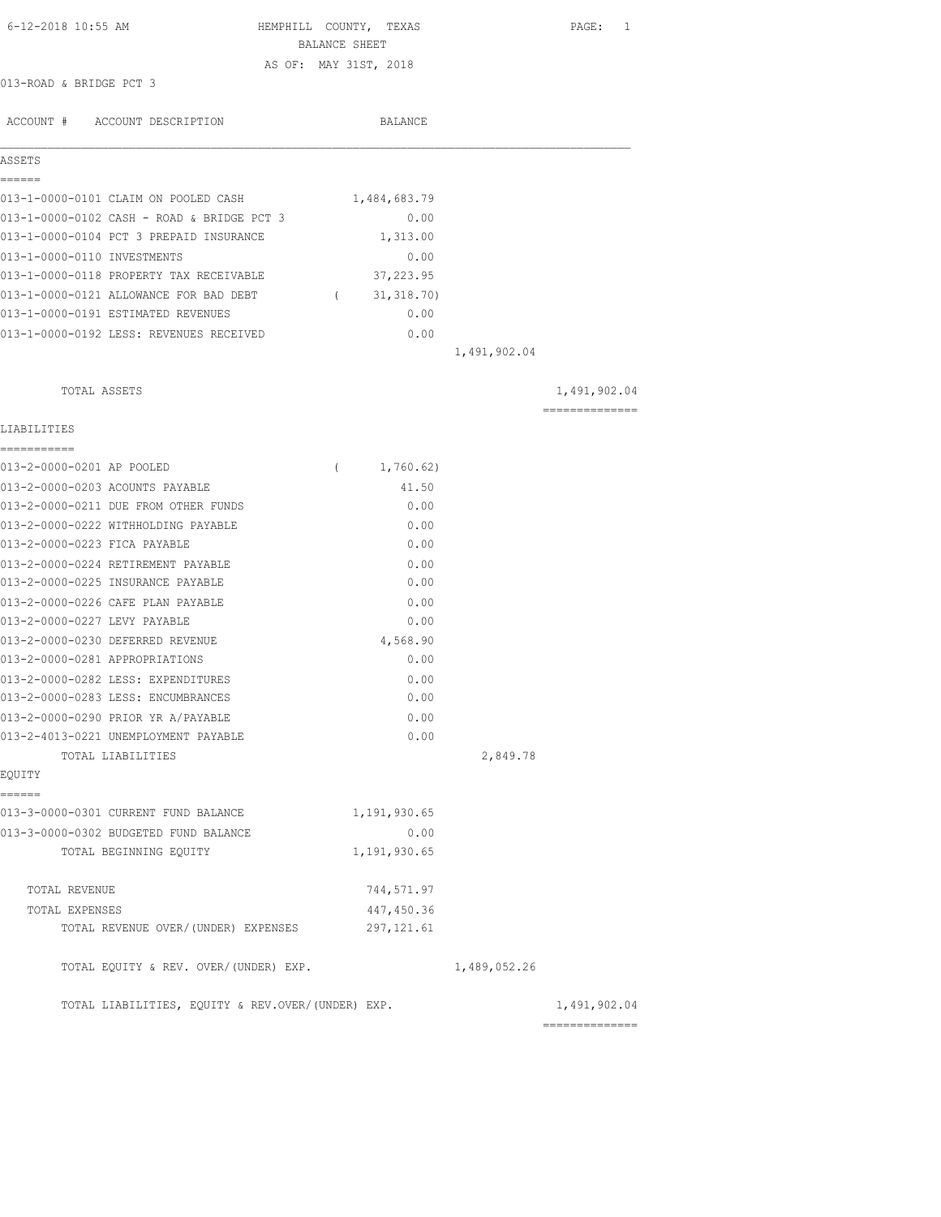| 6-12-2018 10:55 AM                                |          | HEMPHILL COUNTY, TEXAS<br>BALANCE SHEET |              | PAGE: 1                         |
|---------------------------------------------------|----------|-----------------------------------------|--------------|---------------------------------|
|                                                   |          | AS OF: MAY 31ST, 2018                   |              |                                 |
| 013-ROAD & BRIDGE PCT 3                           |          |                                         |              |                                 |
|                                                   |          |                                         |              |                                 |
| ACCOUNT # ACCOUNT DESCRIPTION                     |          | BALANCE                                 |              |                                 |
| ASSETS                                            |          |                                         |              |                                 |
| ======<br>013-1-0000-0101 CLAIM ON POOLED CASH    |          | 1,484,683.79                            |              |                                 |
| 013-1-0000-0102 CASH - ROAD & BRIDGE PCT 3        |          | 0.00                                    |              |                                 |
| 013-1-0000-0104 PCT 3 PREPAID INSURANCE           |          | 1,313.00                                |              |                                 |
| 013-1-0000-0110 INVESTMENTS                       |          | 0.00                                    |              |                                 |
| 013-1-0000-0118 PROPERTY TAX RECEIVABLE           |          | 37,223.95                               |              |                                 |
| 013-1-0000-0121 ALLOWANCE FOR BAD DEBT            |          | (31, 318.70)                            |              |                                 |
| 013-1-0000-0191 ESTIMATED REVENUES                |          | 0.00                                    |              |                                 |
| 013-1-0000-0192 LESS: REVENUES RECEIVED           |          | 0.00                                    |              |                                 |
|                                                   |          |                                         | 1,491,902.04 |                                 |
| TOTAL ASSETS                                      |          |                                         |              | 1,491,902.04                    |
|                                                   |          |                                         |              | ==============                  |
| LIABILITIES<br>------------                       |          |                                         |              |                                 |
| 013-2-0000-0201 AP POOLED                         | $\left($ | 1,760.62)                               |              |                                 |
| 013-2-0000-0203 ACOUNTS PAYABLE                   |          | 41.50                                   |              |                                 |
| 013-2-0000-0211 DUE FROM OTHER FUNDS              |          | 0.00                                    |              |                                 |
| 013-2-0000-0222 WITHHOLDING PAYABLE               |          | 0.00                                    |              |                                 |
| 013-2-0000-0223 FICA PAYABLE                      |          | 0.00                                    |              |                                 |
| 013-2-0000-0224 RETIREMENT PAYABLE                |          | 0.00                                    |              |                                 |
| 013-2-0000-0225 INSURANCE PAYABLE                 |          | 0.00                                    |              |                                 |
| 013-2-0000-0226 CAFE PLAN PAYABLE                 |          | 0.00                                    |              |                                 |
| 013-2-0000-0227 LEVY PAYABLE                      |          | 0.00                                    |              |                                 |
| 013-2-0000-0230 DEFERRED REVENUE                  |          | 4,568.90                                |              |                                 |
| 013-2-0000-0281 APPROPRIATIONS                    |          | 0.00                                    |              |                                 |
| 013-2-0000-0282 LESS: EXPENDITURES                |          | 0.00                                    |              |                                 |
| 013-2-0000-0283 LESS: ENCUMBRANCES                |          | 0.00                                    |              |                                 |
| 013-2-0000-0290 PRIOR YR A/PAYABLE                |          | 0.00                                    |              |                                 |
| 013-2-4013-0221 UNEMPLOYMENT PAYABLE              |          | 0.00                                    |              |                                 |
| TOTAL LIABILITIES                                 |          |                                         | 2,849.78     |                                 |
| EQUITY<br>------                                  |          |                                         |              |                                 |
| 013-3-0000-0301 CURRENT FUND BALANCE              |          | 1,191,930.65                            |              |                                 |
| 013-3-0000-0302 BUDGETED FUND BALANCE             |          | 0.00                                    |              |                                 |
| TOTAL BEGINNING EQUITY                            |          | 1,191,930.65                            |              |                                 |
| TOTAL REVENUE                                     |          | 744,571.97                              |              |                                 |
| TOTAL EXPENSES                                    |          | 447,450.36                              |              |                                 |
| TOTAL REVENUE OVER/(UNDER) EXPENSES               |          | 297, 121.61                             |              |                                 |
| TOTAL EQUITY & REV. OVER/(UNDER) EXP.             |          |                                         | 1,489,052.26 |                                 |
| TOTAL LIABILITIES, EQUITY & REV.OVER/(UNDER) EXP. |          |                                         |              | 1,491,902.04<br>--------------- |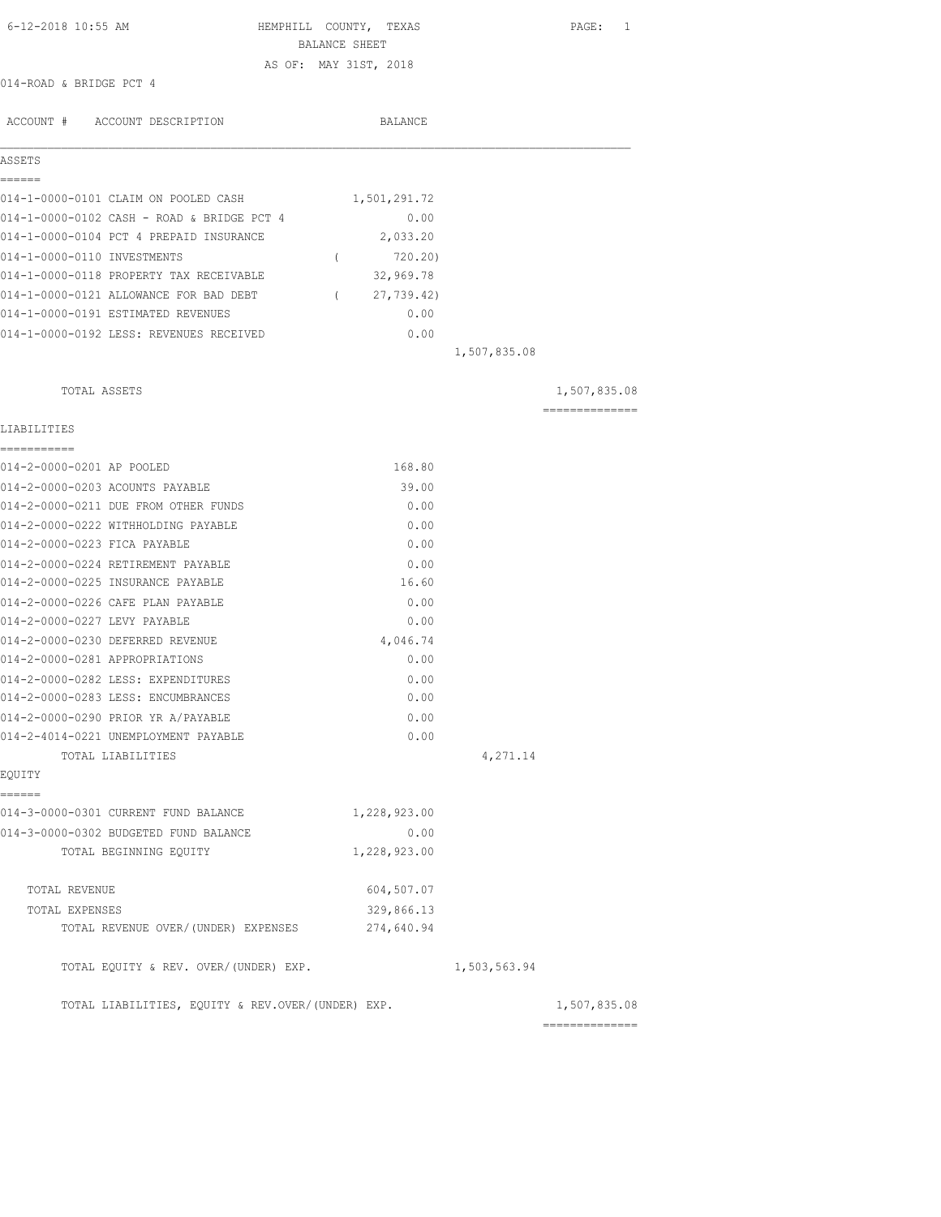| 6-12-2018 10:55 AM                                | HEMPHILL COUNTY, TEXAS<br>BALANCE SHEET |              | PAGE: 1        |
|---------------------------------------------------|-----------------------------------------|--------------|----------------|
|                                                   | AS OF: MAY 31ST, 2018                   |              |                |
| 014-ROAD & BRIDGE PCT 4                           |                                         |              |                |
|                                                   |                                         |              |                |
| ACCOUNT # ACCOUNT DESCRIPTION                     | BALANCE                                 |              |                |
| ASSETS                                            |                                         |              |                |
| ======                                            |                                         |              |                |
| 014-1-0000-0101 CLAIM ON POOLED CASH              | 1,501,291.72                            |              |                |
| 014-1-0000-0102 CASH - ROAD & BRIDGE PCT 4        | 0.00                                    |              |                |
| 014-1-0000-0104 PCT 4 PREPAID INSURANCE           | 2,033.20                                |              |                |
| 014-1-0000-0110 INVESTMENTS                       | 720.20)<br>$\sqrt{2}$                   |              |                |
| 014-1-0000-0118 PROPERTY TAX RECEIVABLE           | 32,969.78                               |              |                |
| 014-1-0000-0121 ALLOWANCE FOR BAD DEBT            | 27,739.42)<br>$\sqrt{2}$                |              |                |
| 014-1-0000-0191 ESTIMATED REVENUES                | 0.00                                    |              |                |
| 014-1-0000-0192 LESS: REVENUES RECEIVED           | 0.00                                    |              |                |
|                                                   |                                         | 1,507,835.08 |                |
| TOTAL ASSETS                                      |                                         |              | 1,507,835.08   |
|                                                   |                                         |              | -------------- |
| LIABILITIES                                       |                                         |              |                |
| ------------<br>014-2-0000-0201 AP POOLED         | 168.80                                  |              |                |
| 014-2-0000-0203 ACOUNTS PAYABLE                   | 39.00                                   |              |                |
| 014-2-0000-0211 DUE FROM OTHER FUNDS              | 0.00                                    |              |                |
| 014-2-0000-0222 WITHHOLDING PAYABLE               | 0.00                                    |              |                |
| 014-2-0000-0223 FICA PAYABLE                      | 0.00                                    |              |                |
| 014-2-0000-0224 RETIREMENT PAYABLE                | 0.00                                    |              |                |
| 014-2-0000-0225 INSURANCE PAYABLE                 | 16.60                                   |              |                |
| 014-2-0000-0226 CAFE PLAN PAYABLE                 | 0.00                                    |              |                |
| 014-2-0000-0227 LEVY PAYABLE                      | 0.00                                    |              |                |
| 014-2-0000-0230 DEFERRED REVENUE                  | 4,046.74                                |              |                |
| 014-2-0000-0281 APPROPRIATIONS                    | 0.00                                    |              |                |
| 014-2-0000-0282 LESS: EXPENDITURES                | 0.00                                    |              |                |
| 014-2-0000-0283 LESS: ENCUMBRANCES                | 0.00                                    |              |                |
| 014-2-0000-0290 PRIOR YR A/PAYABLE                | 0.00                                    |              |                |
| 014-2-4014-0221 UNEMPLOYMENT PAYABLE              | 0.00                                    |              |                |
| TOTAL LIABILITIES                                 |                                         | 4,271.14     |                |
| EQUITY<br>======                                  |                                         |              |                |
| 014-3-0000-0301 CURRENT FUND BALANCE              | 1,228,923.00                            |              |                |
| 014-3-0000-0302 BUDGETED FUND BALANCE             | 0.00                                    |              |                |
| TOTAL BEGINNING EQUITY                            | 1,228,923.00                            |              |                |
| TOTAL REVENUE                                     | 604,507.07                              |              |                |
| TOTAL EXPENSES                                    | 329,866.13                              |              |                |
| TOTAL REVENUE OVER/(UNDER) EXPENSES               | 274,640.94                              |              |                |
| TOTAL EQUITY & REV. OVER/(UNDER) EXP.             |                                         | 1,503,563.94 |                |
| TOTAL LIABILITIES, EQUITY & REV.OVER/(UNDER) EXP. |                                         |              | 1,507,835.08   |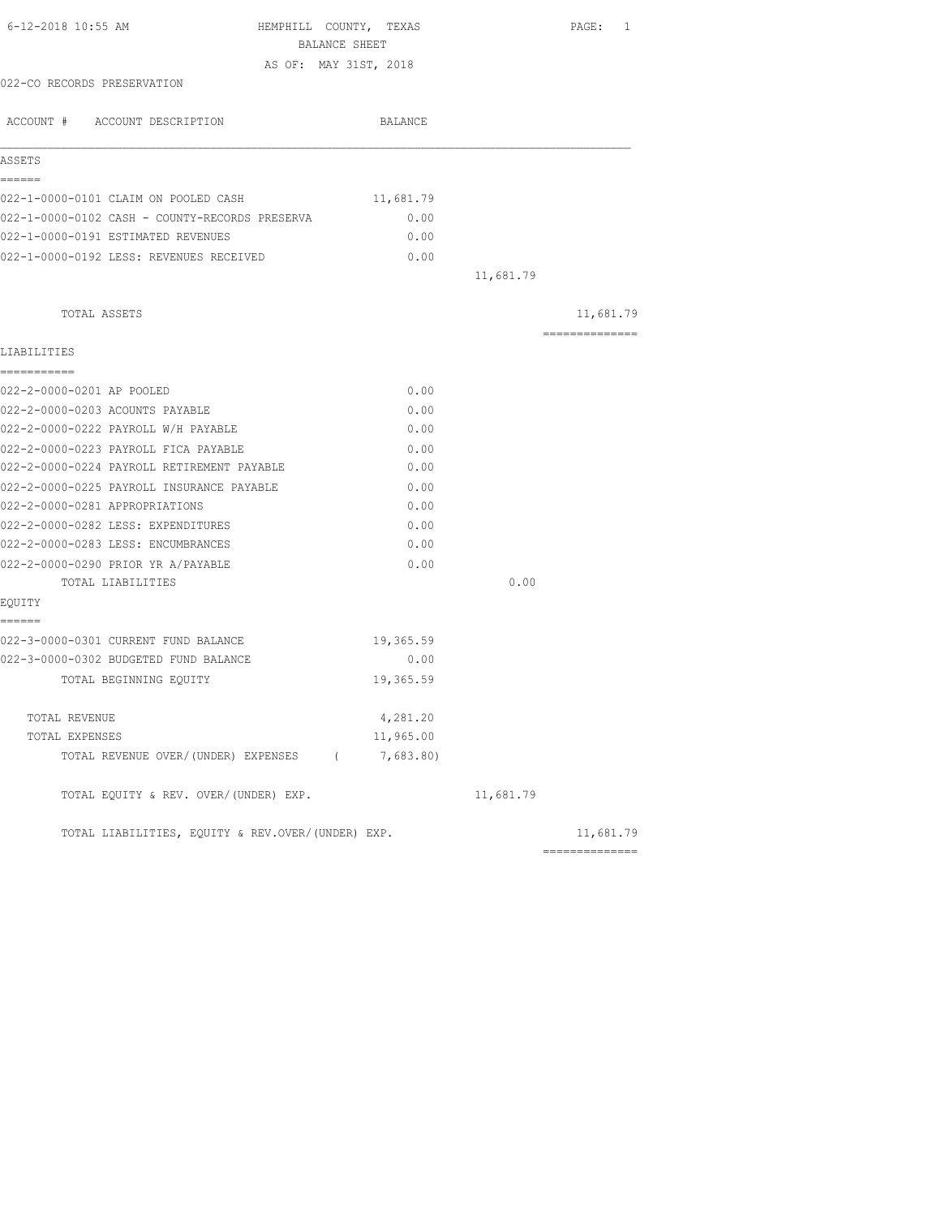| 6-12-2018 10:55 AM                                | HEMPHILL COUNTY, TEXAS<br>BALANCE SHEET |           | PAGE: 1         |
|---------------------------------------------------|-----------------------------------------|-----------|-----------------|
|                                                   | AS OF: MAY 31ST, 2018                   |           |                 |
| 022-CO RECORDS PRESERVATION                       |                                         |           |                 |
| ACCOUNT # ACCOUNT DESCRIPTION                     | BALANCE                                 |           |                 |
| ASSETS                                            |                                         |           |                 |
| ======                                            |                                         |           |                 |
| 022-1-0000-0101 CLAIM ON POOLED CASH              | 11,681.79                               |           |                 |
| 022-1-0000-0102 CASH - COUNTY-RECORDS PRESERVA    | 0.00                                    |           |                 |
| 022-1-0000-0191 ESTIMATED REVENUES                | 0.00                                    |           |                 |
| 022-1-0000-0192 LESS: REVENUES RECEIVED           | 0.00                                    |           |                 |
|                                                   |                                         | 11,681.79 |                 |
| TOTAL ASSETS                                      |                                         |           | 11,681.79       |
| LIABILITIES                                       |                                         |           | --------------- |
| ===========                                       |                                         |           |                 |
| 022-2-0000-0201 AP POOLED                         | 0.00                                    |           |                 |
| 022-2-0000-0203 ACOUNTS PAYABLE                   | 0.00                                    |           |                 |
| 022-2-0000-0222 PAYROLL W/H PAYABLE               | 0.00                                    |           |                 |
| 022-2-0000-0223 PAYROLL FICA PAYABLE              | 0.00                                    |           |                 |
| 022-2-0000-0224 PAYROLL RETIREMENT PAYABLE        | 0.00                                    |           |                 |
| 022-2-0000-0225 PAYROLL INSURANCE PAYABLE         | 0.00                                    |           |                 |
| 022-2-0000-0281 APPROPRIATIONS                    | 0.00                                    |           |                 |
| 022-2-0000-0282 LESS: EXPENDITURES                | 0.00                                    |           |                 |
| 022-2-0000-0283 LESS: ENCUMBRANCES                | 0.00                                    |           |                 |
| 022-2-0000-0290 PRIOR YR A/PAYABLE                | 0.00                                    |           |                 |
| TOTAL LIABILITIES                                 |                                         | 0.00      |                 |
| EQUITY                                            |                                         |           |                 |
| ------<br>022-3-0000-0301 CURRENT FUND BALANCE    | 19,365.59                               |           |                 |
| 022-3-0000-0302 BUDGETED FUND BALANCE             | 0.00                                    |           |                 |
| TOTAL BEGINNING EOUITY                            | 19,365.59                               |           |                 |
| TOTAL REVENUE                                     | 4,281.20                                |           |                 |
| TOTAL EXPENSES                                    | 11,965.00                               |           |                 |
| TOTAL REVENUE OVER/(UNDER) EXPENSES (7,683.80)    |                                         |           |                 |
| TOTAL EQUITY & REV. OVER/(UNDER) EXP.             |                                         | 11,681.79 |                 |
| TOTAL LIABILITIES, EQUITY & REV.OVER/(UNDER) EXP. |                                         |           | 11,681.79       |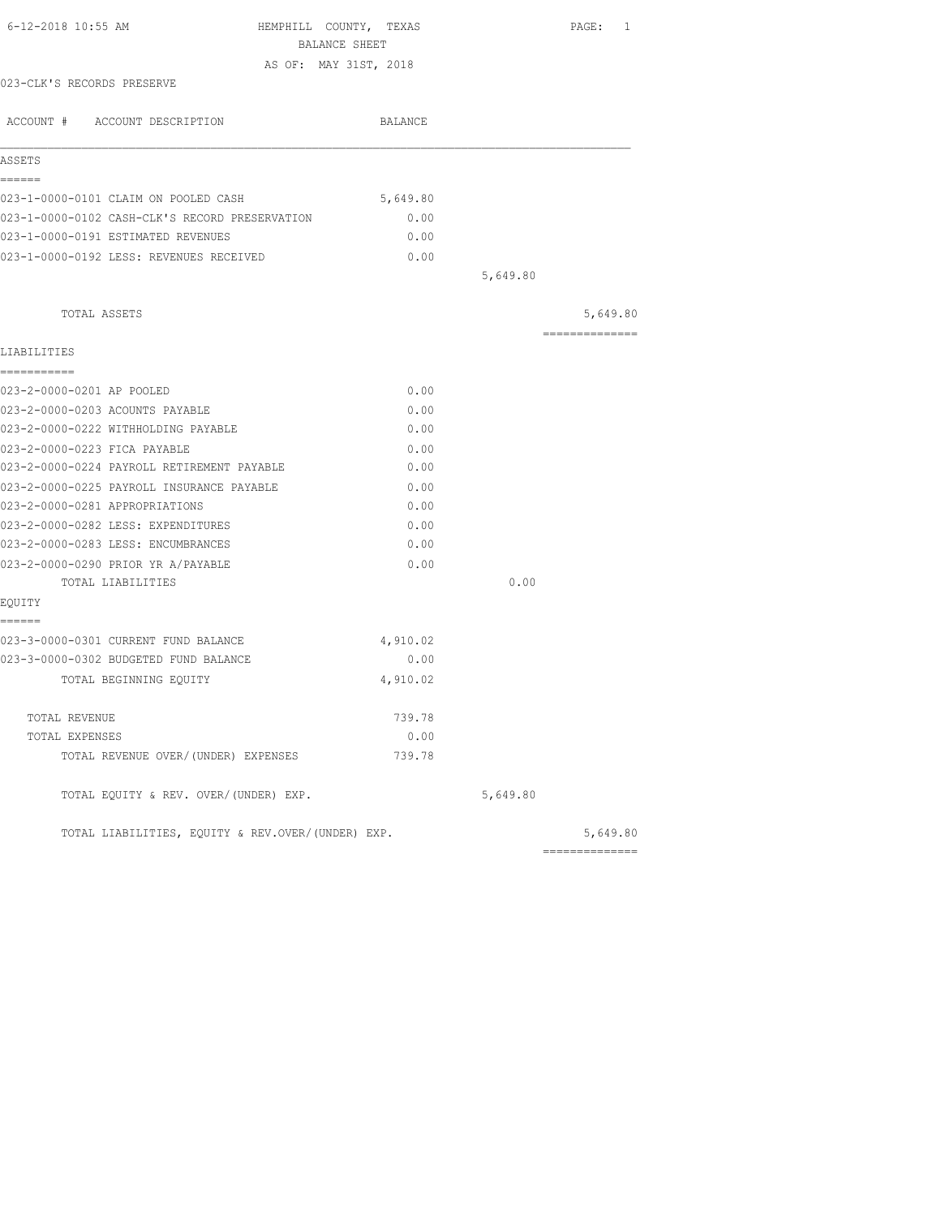| 6-12-2018 10:55 AM                                | HEMPHILL COUNTY, TEXAS<br>BALANCE SHEET |          | PAGE: 1        |
|---------------------------------------------------|-----------------------------------------|----------|----------------|
|                                                   | AS OF: MAY 31ST, 2018                   |          |                |
| 023-CLK'S RECORDS PRESERVE                        |                                         |          |                |
| ACCOUNT # ACCOUNT DESCRIPTION                     | BALANCE                                 |          |                |
| ASSETS                                            |                                         |          |                |
| ======                                            |                                         |          |                |
| 023-1-0000-0101 CLAIM ON POOLED CASH              | 5,649.80                                |          |                |
| 023-1-0000-0102 CASH-CLK'S RECORD PRESERVATION    | 0.00                                    |          |                |
| 023-1-0000-0191 ESTIMATED REVENUES                | 0.00                                    |          |                |
| 023-1-0000-0192 LESS: REVENUES RECEIVED           | 0.00                                    |          |                |
|                                                   |                                         | 5,649.80 |                |
| TOTAL ASSETS                                      |                                         |          | 5,649.80       |
| LIABILITIES                                       |                                         |          | ============== |
| -----------                                       |                                         |          |                |
| 023-2-0000-0201 AP POOLED                         | 0.00                                    |          |                |
| 023-2-0000-0203 ACOUNTS PAYABLE                   | 0.00                                    |          |                |
| 023-2-0000-0222 WITHHOLDING PAYABLE               | 0.00                                    |          |                |
| 023-2-0000-0223 FICA PAYABLE                      | 0.00                                    |          |                |
| 023-2-0000-0224 PAYROLL RETIREMENT PAYABLE        | 0.00                                    |          |                |
| 023-2-0000-0225 PAYROLL INSURANCE PAYABLE         | 0.00                                    |          |                |
| 023-2-0000-0281 APPROPRIATIONS                    | 0.00                                    |          |                |
| 023-2-0000-0282 LESS: EXPENDITURES                | 0.00                                    |          |                |
| 023-2-0000-0283 LESS: ENCUMBRANCES                | 0.00                                    |          |                |
| 023-2-0000-0290 PRIOR YR A/PAYABLE                | 0.00                                    |          |                |
| TOTAL LIABILITIES                                 |                                         | 0.00     |                |
| EQUITY                                            |                                         |          |                |
| ======<br>023-3-0000-0301 CURRENT FUND BALANCE    | 4,910.02                                |          |                |
| 023-3-0000-0302 BUDGETED FUND BALANCE             | 0.00                                    |          |                |
| TOTAL BEGINNING EQUITY                            | 4,910.02                                |          |                |
|                                                   |                                         |          |                |
| TOTAL REVENUE                                     | 739.78                                  |          |                |
| TOTAL EXPENSES                                    | 0.00                                    |          |                |
| TOTAL REVENUE OVER/(UNDER) EXPENSES               | 739.78                                  |          |                |
| TOTAL EQUITY & REV. OVER/(UNDER) EXP.             |                                         | 5,649.80 |                |
| TOTAL LIABILITIES, EOUITY & REV.OVER/(UNDER) EXP. |                                         |          | 5,649.80       |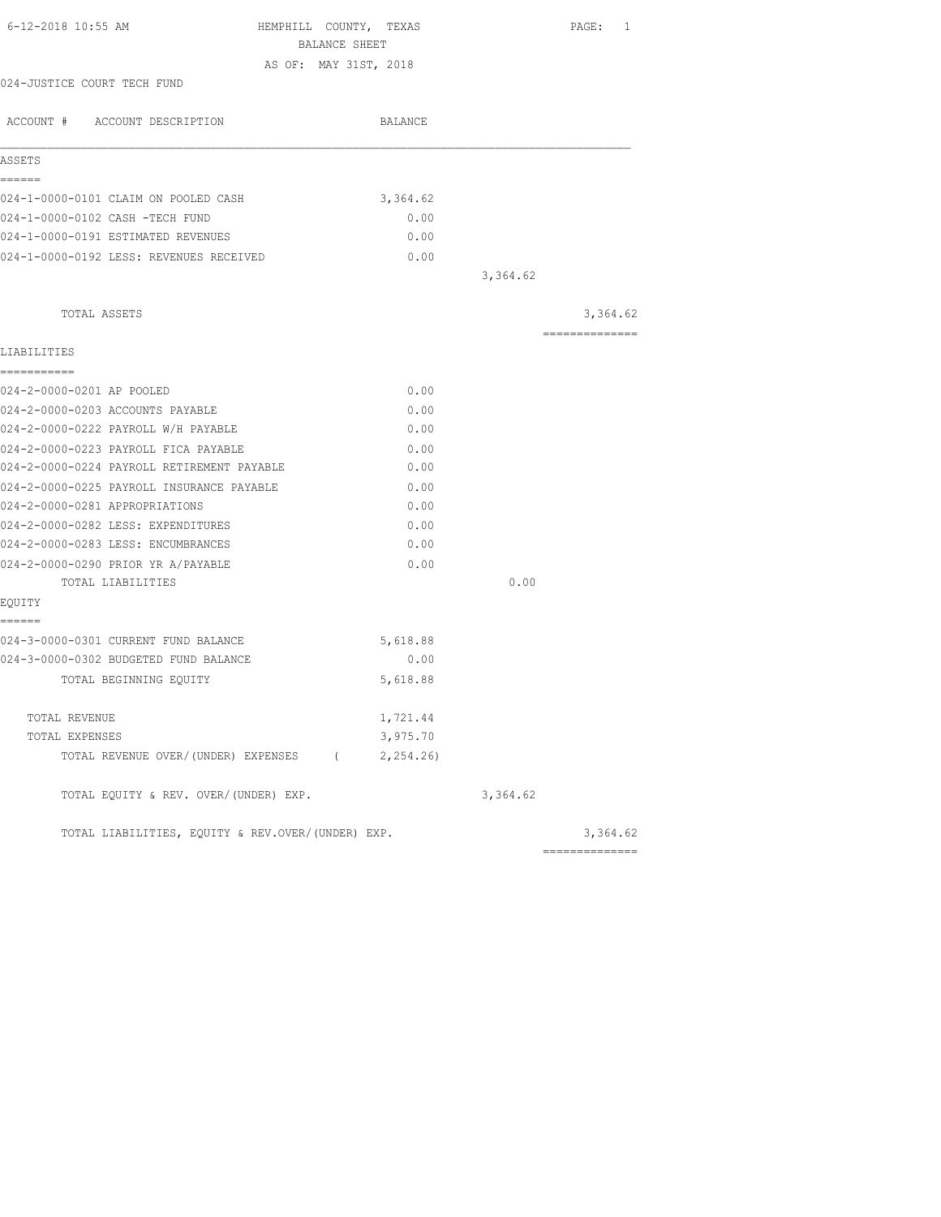| 6-12-2018 10:55 AM<br>HEMPHILL COUNTY, TEXAS      | BALANCE SHEET |          | PAGE: 1         |
|---------------------------------------------------|---------------|----------|-----------------|
| AS OF: MAY 31ST, 2018                             |               |          |                 |
| 024-JUSTICE COURT TECH FUND                       |               |          |                 |
| ACCOUNT # ACCOUNT DESCRIPTION                     | BALANCE       |          |                 |
| ASSETS                                            |               |          |                 |
| ------                                            |               |          |                 |
| 024-1-0000-0101 CLAIM ON POOLED CASH              | 3,364.62      |          |                 |
| 024-1-0000-0102 CASH -TECH FUND                   | 0.00          |          |                 |
| 024-1-0000-0191 ESTIMATED REVENUES                | 0.00          |          |                 |
| 024-1-0000-0192 LESS: REVENUES RECEIVED           | 0.00          |          |                 |
|                                                   |               | 3,364.62 |                 |
| TOTAL ASSETS                                      |               |          | 3,364.62        |
| LIABILITIES                                       |               |          | --------------- |
| ------------                                      |               |          |                 |
| 024-2-0000-0201 AP POOLED                         | 0.00          |          |                 |
| 024-2-0000-0203 ACCOUNTS PAYABLE                  | 0.00          |          |                 |
| 024-2-0000-0222 PAYROLL W/H PAYABLE               | 0.00          |          |                 |
| 024-2-0000-0223 PAYROLL FICA PAYABLE              | 0.00          |          |                 |
| 024-2-0000-0224 PAYROLL RETIREMENT PAYABLE        | 0.00          |          |                 |
| 024-2-0000-0225 PAYROLL INSURANCE PAYABLE         | 0.00          |          |                 |
| 024-2-0000-0281 APPROPRIATIONS                    | 0.00          |          |                 |
| 024-2-0000-0282 LESS: EXPENDITURES                | 0.00          |          |                 |
| 024-2-0000-0283 LESS: ENCUMBRANCES                | 0.00          |          |                 |
| 024-2-0000-0290 PRIOR YR A/PAYABLE                | 0.00          |          |                 |
| TOTAL LIABILITIES                                 |               | 0.00     |                 |
| EQUITY                                            |               |          |                 |
| ------<br>024-3-0000-0301 CURRENT FUND BALANCE    | 5,618.88      |          |                 |
| 024-3-0000-0302 BUDGETED FUND BALANCE             | 0.00          |          |                 |
| TOTAL BEGINNING EQUITY                            | 5,618.88      |          |                 |
| TOTAL REVENUE                                     | 1,721.44      |          |                 |
| TOTAL EXPENSES                                    | 3,975.70      |          |                 |
| TOTAL REVENUE OVER/(UNDER) EXPENSES (2,254.26)    |               |          |                 |
| TOTAL EQUITY & REV. OVER/(UNDER) EXP.             |               | 3,364.62 |                 |
| TOTAL LIABILITIES, EQUITY & REV.OVER/(UNDER) EXP. |               |          | 3,364.62        |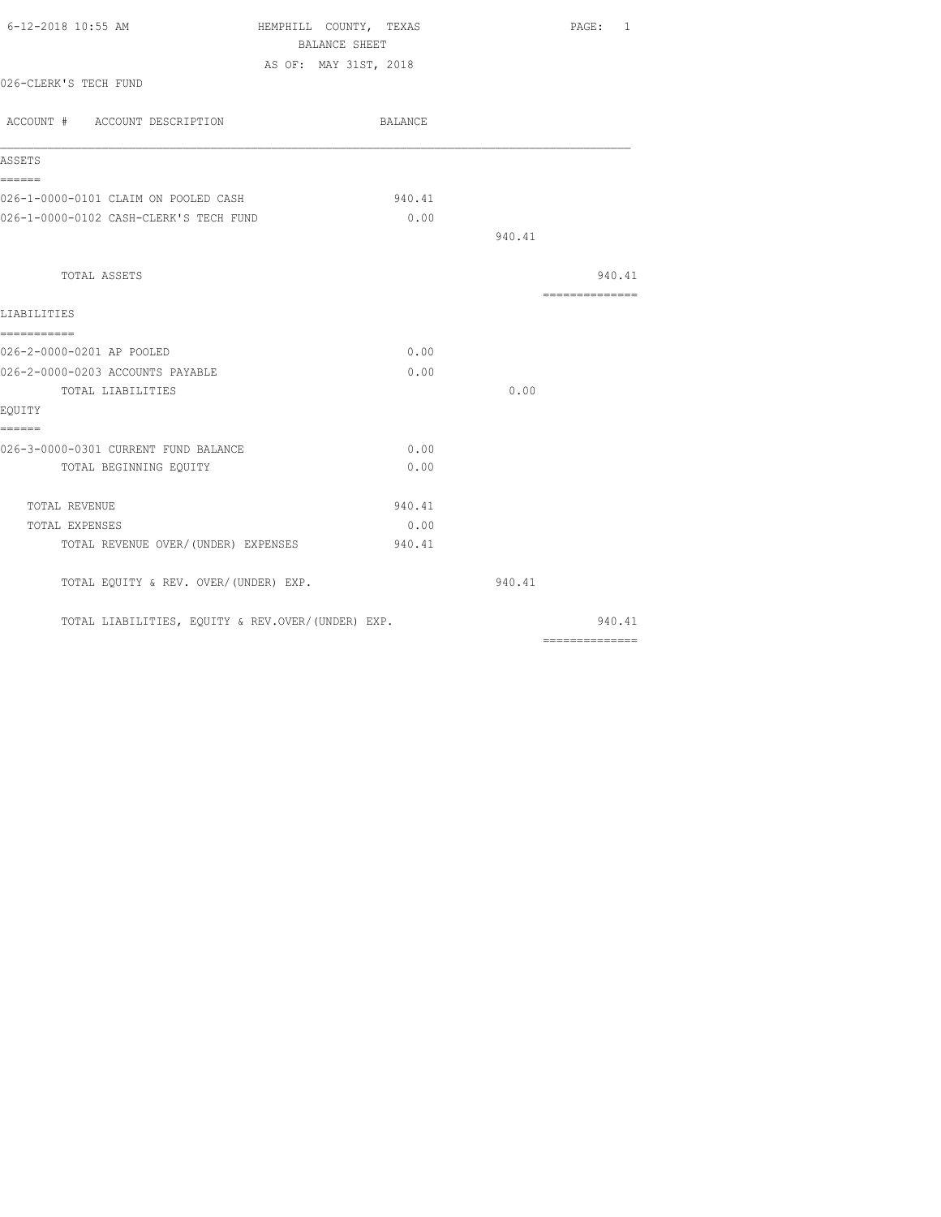| 6-12-2018 10:55 AM                                | HEMPHILL COUNTY, TEXAS                 |        | PAGE: 1        |
|---------------------------------------------------|----------------------------------------|--------|----------------|
|                                                   | BALANCE SHEET<br>AS OF: MAY 31ST, 2018 |        |                |
| 026-CLERK'S TECH FUND                             |                                        |        |                |
| ACCOUNT # ACCOUNT DESCRIPTION                     | BALANCE                                |        |                |
| ASSETS                                            |                                        |        |                |
| ======<br>026-1-0000-0101 CLAIM ON POOLED CASH    | 940.41                                 |        |                |
| 026-1-0000-0102 CASH-CLERK'S TECH FUND            | 0.00                                   |        |                |
|                                                   |                                        | 940.41 |                |
| TOTAL ASSETS                                      |                                        |        | 940.41         |
| LIABILITIES                                       |                                        |        | -------------- |
| ===========<br>026-2-0000-0201 AP POOLED          | 0.00                                   |        |                |
| 026-2-0000-0203 ACCOUNTS PAYABLE                  | 0.00                                   |        |                |
| TOTAL LIABILITIES                                 |                                        | 0.00   |                |
| EQUITY                                            |                                        |        |                |
| ======                                            |                                        |        |                |
| 026-3-0000-0301 CURRENT FUND BALANCE              | 0.00                                   |        |                |
| TOTAL BEGINNING EQUITY                            | 0.00                                   |        |                |
| TOTAL REVENUE                                     | 940.41                                 |        |                |
| TOTAL EXPENSES                                    | 0.00                                   |        |                |
| TOTAL REVENUE OVER/(UNDER) EXPENSES               | 940.41                                 |        |                |
| TOTAL EQUITY & REV. OVER/(UNDER) EXP.             |                                        | 940.41 |                |
| TOTAL LIABILITIES, EQUITY & REV.OVER/(UNDER) EXP. |                                        |        | 940.41         |
|                                                   |                                        |        | -------------- |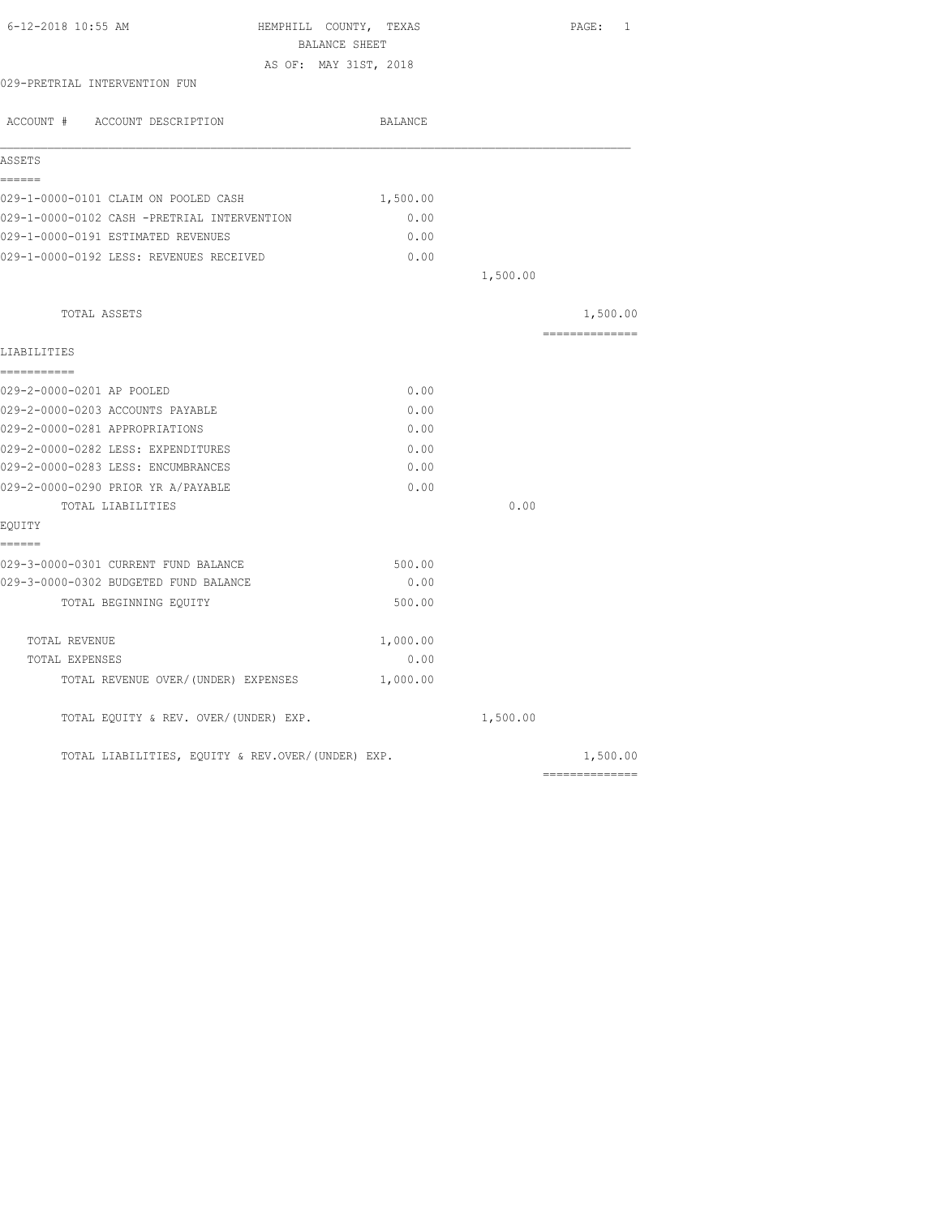| BALANCE SHEET |                                                                                              |                |
|---------------|----------------------------------------------------------------------------------------------|----------------|
|               |                                                                                              |                |
|               |                                                                                              |                |
| BALANCE       |                                                                                              |                |
|               |                                                                                              |                |
|               |                                                                                              |                |
| 1,500.00      |                                                                                              |                |
| 0.00          |                                                                                              |                |
| 0.00          |                                                                                              |                |
| 0.00          |                                                                                              |                |
|               | 1,500.00                                                                                     |                |
|               |                                                                                              | 1,500.00       |
|               |                                                                                              | ============== |
|               |                                                                                              |                |
| 0.00          |                                                                                              |                |
| 0.00          |                                                                                              |                |
| 0.00          |                                                                                              |                |
| 0.00          |                                                                                              |                |
| 0.00          |                                                                                              |                |
| 0.00          |                                                                                              |                |
|               | 0.00                                                                                         |                |
|               |                                                                                              |                |
|               |                                                                                              |                |
|               |                                                                                              |                |
| 500.00        |                                                                                              |                |
| 1,000.00      |                                                                                              |                |
| 0.00          |                                                                                              |                |
| 1,000.00      |                                                                                              |                |
|               | 1,500.00                                                                                     |                |
|               |                                                                                              | 1,500.00       |
|               | AS OF: MAY 31ST, 2018<br>500.00<br>0.00<br>TOTAL LIABILITIES, EQUITY & REV.OVER/(UNDER) EXP. | ============== |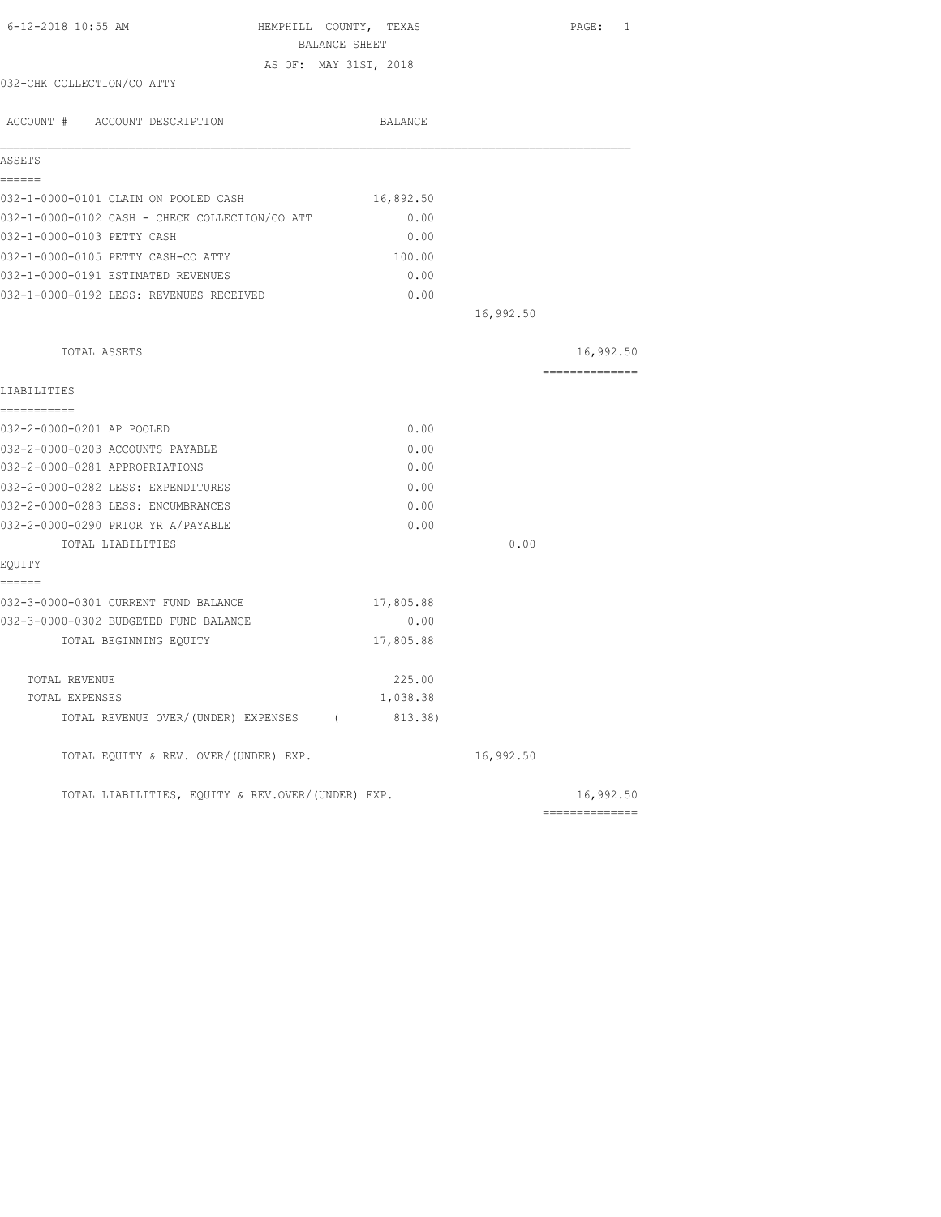| 6-12-2018 10:55 AM                                | HEMPHILL COUNTY, TEXAS<br>BALANCE SHEET |           | PAGE: 1        |
|---------------------------------------------------|-----------------------------------------|-----------|----------------|
|                                                   | AS OF: MAY 31ST, 2018                   |           |                |
| 032-CHK COLLECTION/CO ATTY                        |                                         |           |                |
| ACCOUNT # ACCOUNT DESCRIPTION                     | BALANCE                                 |           |                |
| ASSETS                                            |                                         |           |                |
| ======                                            |                                         |           |                |
| 032-1-0000-0101 CLAIM ON POOLED CASH              | 16,892.50                               |           |                |
| 032-1-0000-0102 CASH - CHECK COLLECTION/CO ATT    | 0.00                                    |           |                |
| 032-1-0000-0103 PETTY CASH                        | 0.00                                    |           |                |
| 032-1-0000-0105 PETTY CASH-CO ATTY                | 100.00                                  |           |                |
| 032-1-0000-0191 ESTIMATED REVENUES                | 0.00                                    |           |                |
| 032-1-0000-0192 LESS: REVENUES RECEIVED           | 0.00                                    |           |                |
|                                                   |                                         | 16,992.50 |                |
| TOTAL ASSETS                                      |                                         |           | 16,992.50      |
| LIABILITIES                                       |                                         |           | -------------- |
| ===========                                       | 0.00                                    |           |                |
| 032-2-0000-0201 AP POOLED                         |                                         |           |                |
| 032-2-0000-0203 ACCOUNTS PAYABLE                  | 0.00                                    |           |                |
| 032-2-0000-0281 APPROPRIATIONS                    | 0.00                                    |           |                |
| 032-2-0000-0282 LESS: EXPENDITURES                | 0.00                                    |           |                |
| 032-2-0000-0283 LESS: ENCUMBRANCES                | 0.00                                    |           |                |
| 032-2-0000-0290 PRIOR YR A/PAYABLE                | 0.00                                    |           |                |
| TOTAL LIABILITIES<br>EQUITY                       |                                         | 0.00      |                |
| ======                                            |                                         |           |                |
| 032-3-0000-0301 CURRENT FUND BALANCE              | 17,805.88                               |           |                |
| 032-3-0000-0302 BUDGETED FUND BALANCE             | 0.00                                    |           |                |
| TOTAL BEGINNING EQUITY                            | 17,805.88                               |           |                |
| TOTAL REVENUE                                     | 225.00                                  |           |                |
| TOTAL EXPENSES                                    | 1,038.38                                |           |                |
| TOTAL REVENUE OVER/(UNDER) EXPENSES (             | 813.38)                                 |           |                |
| TOTAL EQUITY & REV. OVER/(UNDER) EXP.             |                                         | 16,992.50 |                |
| TOTAL LIABILITIES, EQUITY & REV.OVER/(UNDER) EXP. |                                         |           | 16,992.50      |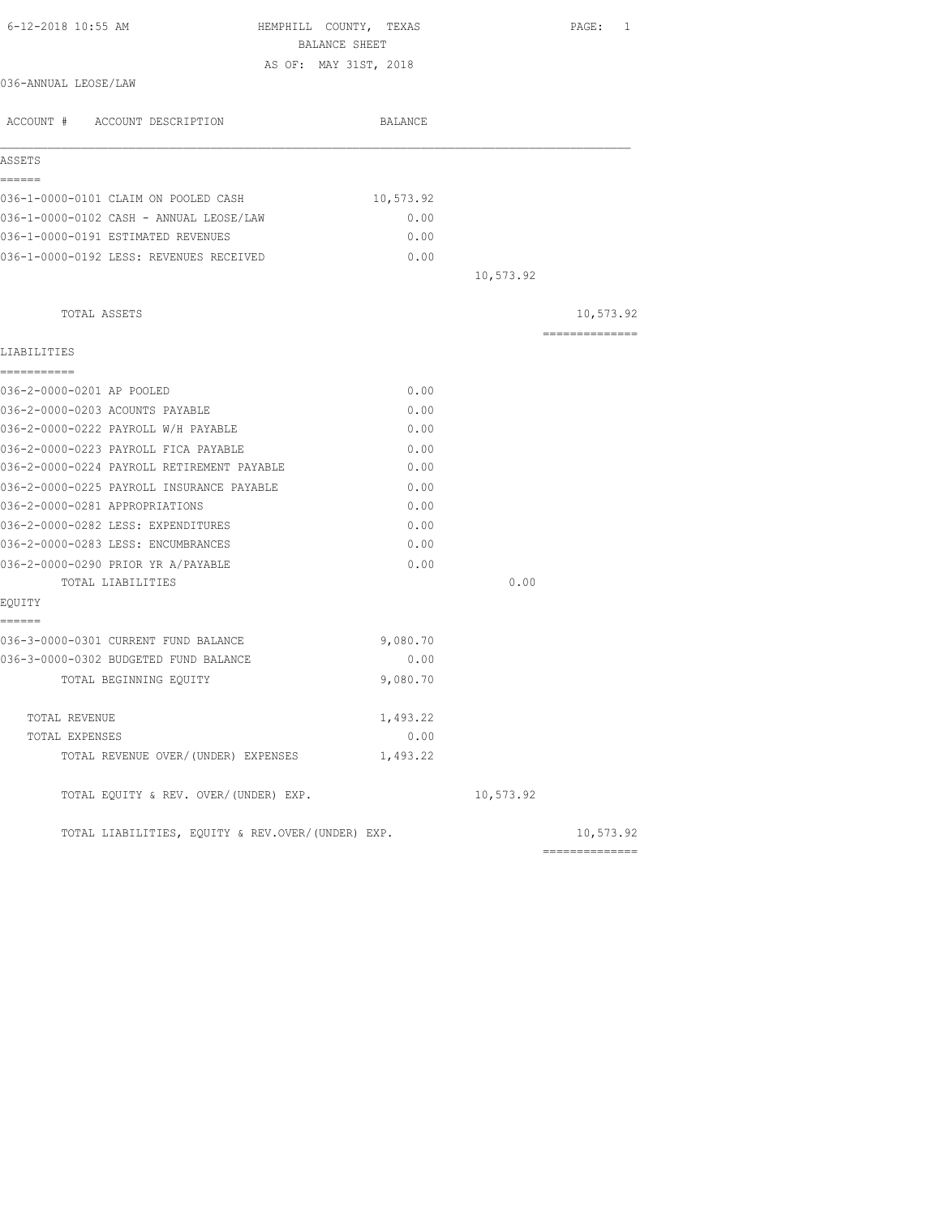| 6-12-2018 10:55 AM                                | HEMPHILL COUNTY, TEXAS<br>BALANCE SHEET |                 | PAGE: 1        |
|---------------------------------------------------|-----------------------------------------|-----------------|----------------|
|                                                   | AS OF: MAY 31ST, 2018                   |                 |                |
| 036-ANNUAL LEOSE/LAW                              |                                         |                 |                |
| ACCOUNT # ACCOUNT DESCRIPTION                     | BALANCE                                 |                 |                |
| ASSETS                                            |                                         |                 |                |
| ======<br>036-1-0000-0101 CLAIM ON POOLED CASH    | 10,573.92                               |                 |                |
| 036-1-0000-0102 CASH - ANNUAL LEOSE/LAW           | 0.00                                    |                 |                |
| 036-1-0000-0191 ESTIMATED REVENUES                | 0.00                                    |                 |                |
| 036-1-0000-0192 LESS: REVENUES RECEIVED           | 0.00                                    |                 |                |
|                                                   |                                         | 10,573.92       |                |
| TOTAL ASSETS                                      |                                         |                 | 10,573.92      |
| LIABILITIES                                       |                                         |                 | ============== |
| -----------                                       |                                         |                 |                |
| 036-2-0000-0201 AP POOLED                         | 0.00                                    |                 |                |
| 036-2-0000-0203 ACOUNTS PAYABLE                   | 0.00                                    |                 |                |
| 036-2-0000-0222 PAYROLL W/H PAYABLE               | 0.00                                    |                 |                |
| 036-2-0000-0223 PAYROLL FICA PAYABLE              | 0.00                                    |                 |                |
| 036-2-0000-0224 PAYROLL RETIREMENT PAYABLE        | 0.00                                    |                 |                |
| 036-2-0000-0225 PAYROLL INSURANCE PAYABLE         | 0.00                                    |                 |                |
| 036-2-0000-0281 APPROPRIATIONS                    | 0.00                                    |                 |                |
| 036-2-0000-0282 LESS: EXPENDITURES                | 0.00                                    |                 |                |
| 036-2-0000-0283 LESS: ENCUMBRANCES                | 0.00                                    |                 |                |
| 036-2-0000-0290 PRIOR YR A/PAYABLE                | 0.00                                    |                 |                |
| TOTAL LIABILITIES                                 |                                         | 0.00            |                |
| EQUITY<br>======                                  |                                         |                 |                |
| 036-3-0000-0301 CURRENT FUND BALANCE              | 9,080.70                                |                 |                |
| 036-3-0000-0302 BUDGETED FUND BALANCE             | 0.00                                    |                 |                |
| TOTAL BEGINNING EOUITY                            | 9,080.70                                |                 |                |
| TOTAL REVENUE                                     | 1,493.22                                |                 |                |
| TOTAL EXPENSES                                    | 0.00                                    |                 |                |
| TOTAL REVENUE OVER/(UNDER) EXPENSES               | 1,493.22                                |                 |                |
| TOTAL EQUITY & REV. OVER/(UNDER) EXP.             |                                         | 10,573.92       |                |
| TOTAL LIABILITIES, EQUITY & REV.OVER/(UNDER) EXP. |                                         | --------------- | 10,573.92      |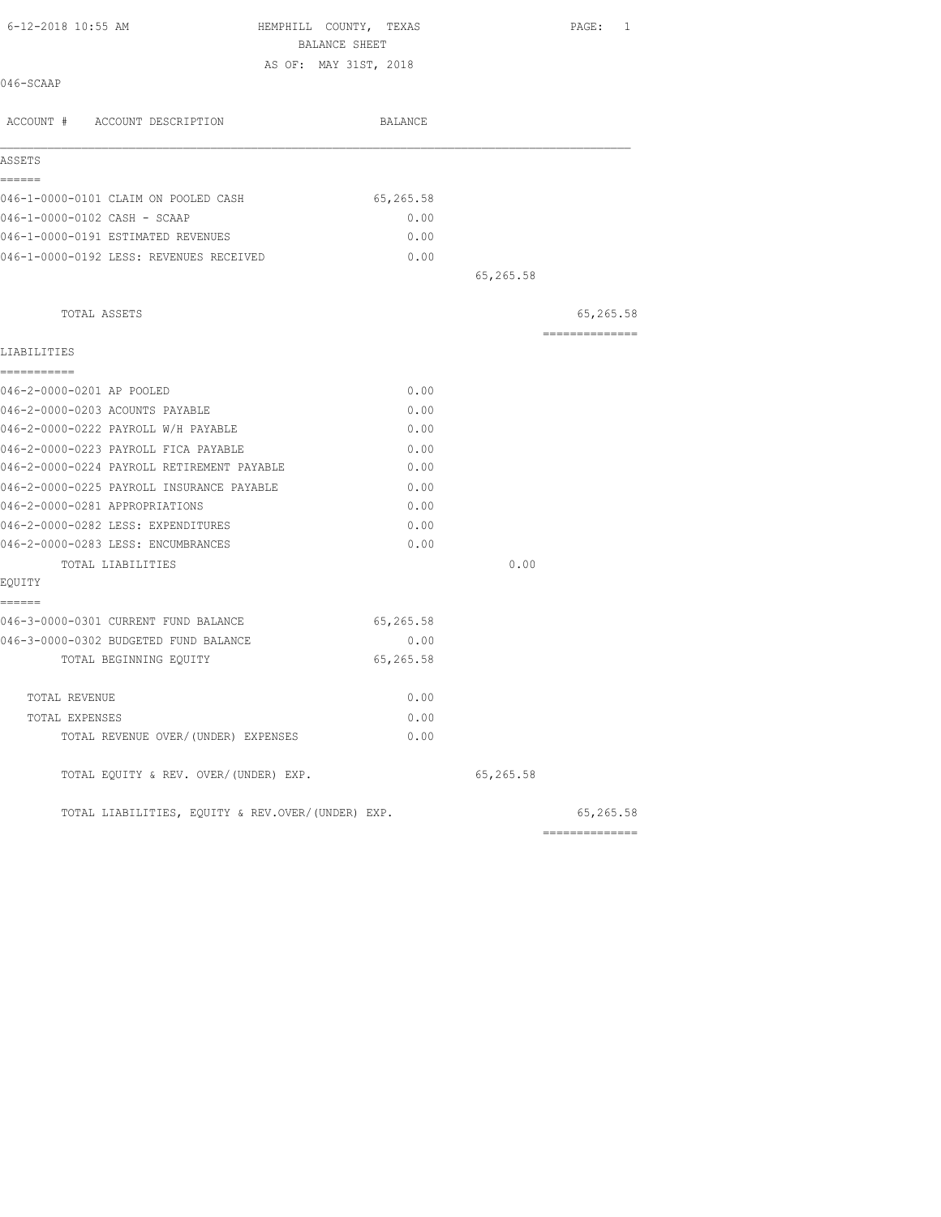| 6-12-2018 10:55 AM                                | HEMPHILL COUNTY, TEXAS<br>BALANCE SHEET |           | PAGE: 1         |
|---------------------------------------------------|-----------------------------------------|-----------|-----------------|
|                                                   | AS OF: MAY 31ST, 2018                   |           |                 |
| 046-SCAAP                                         |                                         |           |                 |
| ACCOUNT # ACCOUNT DESCRIPTION                     | BALANCE                                 |           |                 |
| ASSETS                                            |                                         |           |                 |
| ======<br>046-1-0000-0101 CLAIM ON POOLED CASH    | 65,265.58                               |           |                 |
|                                                   |                                         |           |                 |
| 046-1-0000-0102 CASH - SCAAP                      | 0.00                                    |           |                 |
| 046-1-0000-0191 ESTIMATED REVENUES                | 0.00                                    |           |                 |
| 046-1-0000-0192 LESS: REVENUES RECEIVED           | 0.00                                    |           |                 |
|                                                   |                                         | 65,265.58 |                 |
| TOTAL ASSETS                                      |                                         |           | 65,265.58       |
| LIABILITIES                                       |                                         |           | --------------- |
| ===========                                       |                                         |           |                 |
| 046-2-0000-0201 AP POOLED                         | 0.00                                    |           |                 |
| 046-2-0000-0203 ACOUNTS PAYABLE                   | 0.00                                    |           |                 |
| 046-2-0000-0222 PAYROLL W/H PAYABLE               | 0.00                                    |           |                 |
| 046-2-0000-0223 PAYROLL FICA PAYABLE              | 0.00                                    |           |                 |
| 046-2-0000-0224 PAYROLL RETIREMENT PAYABLE        | 0.00                                    |           |                 |
| 046-2-0000-0225 PAYROLL INSURANCE PAYABLE         | 0.00                                    |           |                 |
| 046-2-0000-0281 APPROPRIATIONS                    | 0.00                                    |           |                 |
| 046-2-0000-0282 LESS: EXPENDITURES                | 0.00                                    |           |                 |
| 046-2-0000-0283 LESS: ENCUMBRANCES                | 0.00                                    |           |                 |
| TOTAL LIABILITIES                                 |                                         | 0.00      |                 |
| EQUITY                                            |                                         |           |                 |
| ======                                            |                                         |           |                 |
| 046-3-0000-0301 CURRENT FUND BALANCE              | 65,265.58                               |           |                 |
| 046-3-0000-0302 BUDGETED FUND BALANCE             | 0.00                                    |           |                 |
| TOTAL BEGINNING EQUITY                            | 65,265.58                               |           |                 |
| TOTAL REVENUE                                     | 0.00                                    |           |                 |
| TOTAL EXPENSES                                    | 0.00                                    |           |                 |
| TOTAL REVENUE OVER/(UNDER) EXPENSES               | 0.00                                    |           |                 |
| TOTAL EQUITY & REV. OVER/(UNDER) EXP.             |                                         | 65,265.58 |                 |
| TOTAL LIABILITIES, EQUITY & REV.OVER/(UNDER) EXP. |                                         |           | 65,265.58       |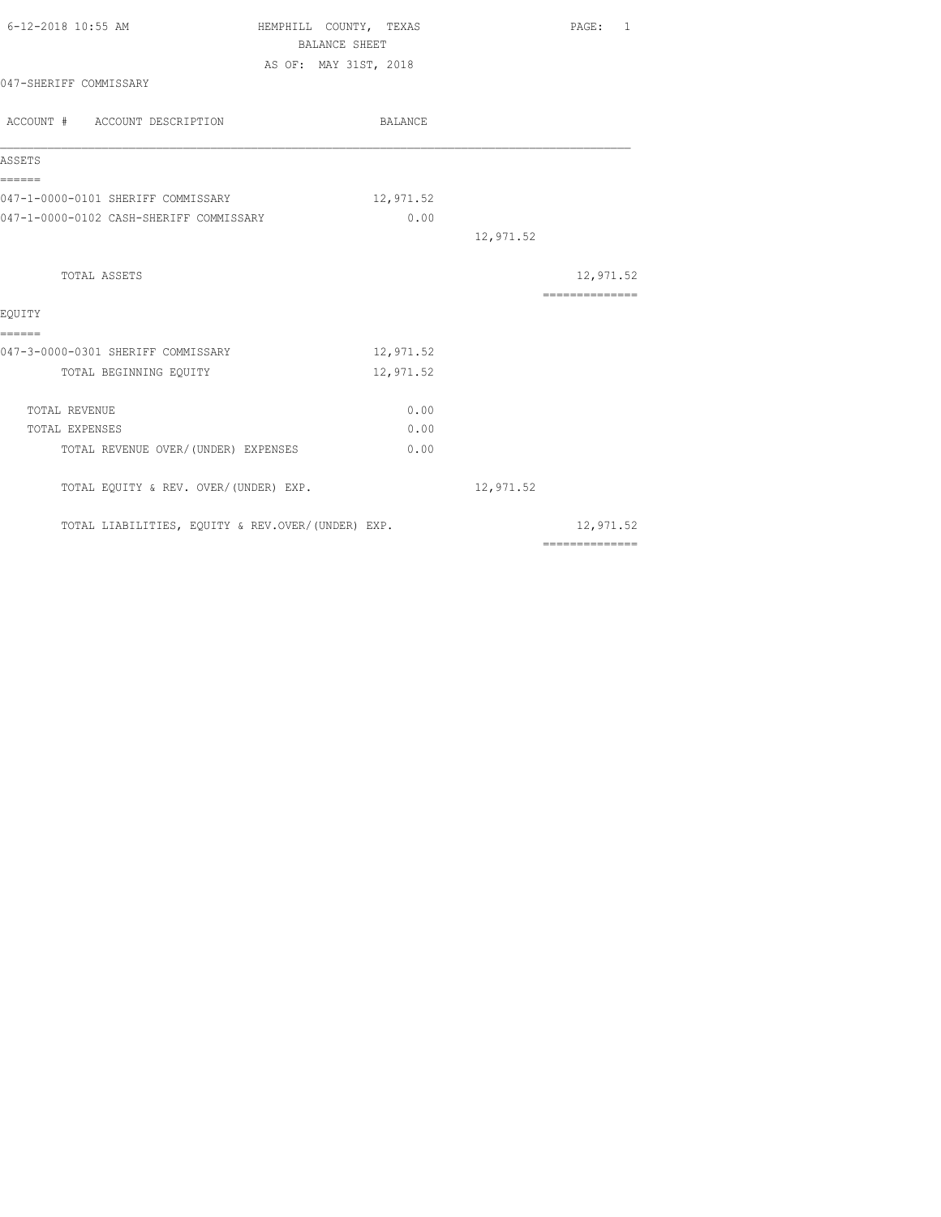| 6-12-2018 10:55 AM                           | HEMPHILL COUNTY, TEXAS<br><b>BALANCE SHEET</b>    |           |           | PAGE: 1                                                                                                                                                                                                                                                                                                                                                                                                                                                                                |  |
|----------------------------------------------|---------------------------------------------------|-----------|-----------|----------------------------------------------------------------------------------------------------------------------------------------------------------------------------------------------------------------------------------------------------------------------------------------------------------------------------------------------------------------------------------------------------------------------------------------------------------------------------------------|--|
|                                              | AS OF: MAY 31ST, 2018                             |           |           |                                                                                                                                                                                                                                                                                                                                                                                                                                                                                        |  |
| 047-SHERIFF COMMISSARY                       |                                                   |           |           |                                                                                                                                                                                                                                                                                                                                                                                                                                                                                        |  |
| ACCOUNT # ACCOUNT DESCRIPTION                | BALANCE                                           |           |           |                                                                                                                                                                                                                                                                                                                                                                                                                                                                                        |  |
| ASSETS                                       |                                                   |           |           |                                                                                                                                                                                                                                                                                                                                                                                                                                                                                        |  |
| ======<br>047-1-0000-0101 SHERIFF COMMISSARY |                                                   | 12,971.52 |           |                                                                                                                                                                                                                                                                                                                                                                                                                                                                                        |  |
| 047-1-0000-0102 CASH-SHERIFF COMMISSARY      |                                                   | 0.00      |           |                                                                                                                                                                                                                                                                                                                                                                                                                                                                                        |  |
|                                              |                                                   |           | 12,971.52 |                                                                                                                                                                                                                                                                                                                                                                                                                                                                                        |  |
| TOTAL ASSETS                                 |                                                   |           |           | 12,971.52                                                                                                                                                                                                                                                                                                                                                                                                                                                                              |  |
|                                              |                                                   |           |           | $\begin{array}{cccccccccccccc} \multicolumn{2}{c}{} & \multicolumn{2}{c}{} & \multicolumn{2}{c}{} & \multicolumn{2}{c}{} & \multicolumn{2}{c}{} & \multicolumn{2}{c}{} & \multicolumn{2}{c}{} & \multicolumn{2}{c}{} & \multicolumn{2}{c}{} & \multicolumn{2}{c}{} & \multicolumn{2}{c}{} & \multicolumn{2}{c}{} & \multicolumn{2}{c}{} & \multicolumn{2}{c}{} & \multicolumn{2}{c}{} & \multicolumn{2}{c}{} & \multicolumn{2}{c}{} & \multicolumn{2}{c}{} & \multicolumn{2}{c}{} & \$ |  |
| EOUITY<br>======                             |                                                   |           |           |                                                                                                                                                                                                                                                                                                                                                                                                                                                                                        |  |
| 047-3-0000-0301 SHERIFF COMMISSARY           |                                                   | 12,971.52 |           |                                                                                                                                                                                                                                                                                                                                                                                                                                                                                        |  |
| TOTAL BEGINNING EQUITY                       |                                                   | 12,971.52 |           |                                                                                                                                                                                                                                                                                                                                                                                                                                                                                        |  |
| TOTAL REVENUE                                |                                                   | 0.00      |           |                                                                                                                                                                                                                                                                                                                                                                                                                                                                                        |  |
| TOTAL EXPENSES                               |                                                   | 0.00      |           |                                                                                                                                                                                                                                                                                                                                                                                                                                                                                        |  |
| TOTAL REVENUE OVER/(UNDER) EXPENSES          |                                                   | 0.00      |           |                                                                                                                                                                                                                                                                                                                                                                                                                                                                                        |  |
| TOTAL EQUITY & REV. OVER/(UNDER) EXP.        |                                                   |           | 12,971.52 |                                                                                                                                                                                                                                                                                                                                                                                                                                                                                        |  |
|                                              | TOTAL LIABILITIES, EQUITY & REV.OVER/(UNDER) EXP. |           |           | 12,971.52                                                                                                                                                                                                                                                                                                                                                                                                                                                                              |  |
|                                              |                                                   |           |           | ==============                                                                                                                                                                                                                                                                                                                                                                                                                                                                         |  |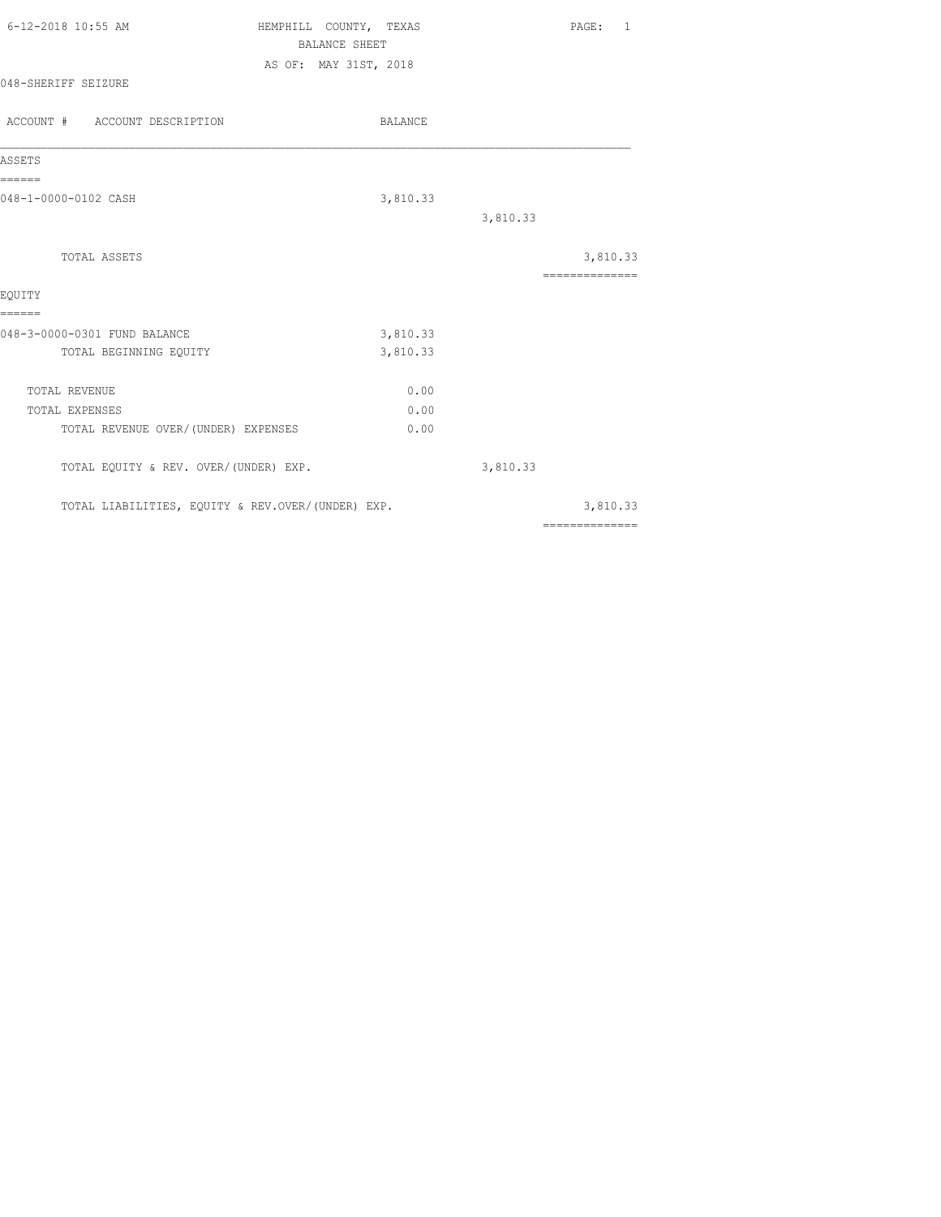| 6-12-2018 10:55 AM  | HEMPHILL COUNTY, TEXAS | PAGE: 1 |
|---------------------|------------------------|---------|
|                     | BALANCE SHEET          |         |
|                     | AS OF: MAY 31ST, 2018  |         |
| 048-SHERIFF SEIZURE |                        |         |
|                     |                        |         |

| ACCOUNT # ACCOUNT DESCRIPTION                     | BALANCE  |          |                            |
|---------------------------------------------------|----------|----------|----------------------------|
| ASSETS                                            |          |          |                            |
| ======<br>048-1-0000-0102 CASH                    | 3,810.33 |          |                            |
|                                                   |          | 3,810.33 |                            |
| TOTAL ASSETS                                      |          |          | 3,810.33<br>============== |
| EOUITY                                            |          |          |                            |
| ======<br>048-3-0000-0301 FUND BALANCE            | 3,810.33 |          |                            |
| TOTAL BEGINNING EQUITY                            | 3,810.33 |          |                            |
| <b>TOTAL REVENUE</b>                              | 0.00     |          |                            |
| <b>TOTAL EXPENSES</b>                             | 0.00     |          |                            |
| TOTAL REVENUE OVER/(UNDER) EXPENSES               | 0.00     |          |                            |
| TOTAL EQUITY & REV. OVER/(UNDER) EXP.             |          | 3,810.33 |                            |
| TOTAL LIABILITIES, EQUITY & REV.OVER/(UNDER) EXP. |          |          | 3,810.33                   |
|                                                   |          |          | ==============             |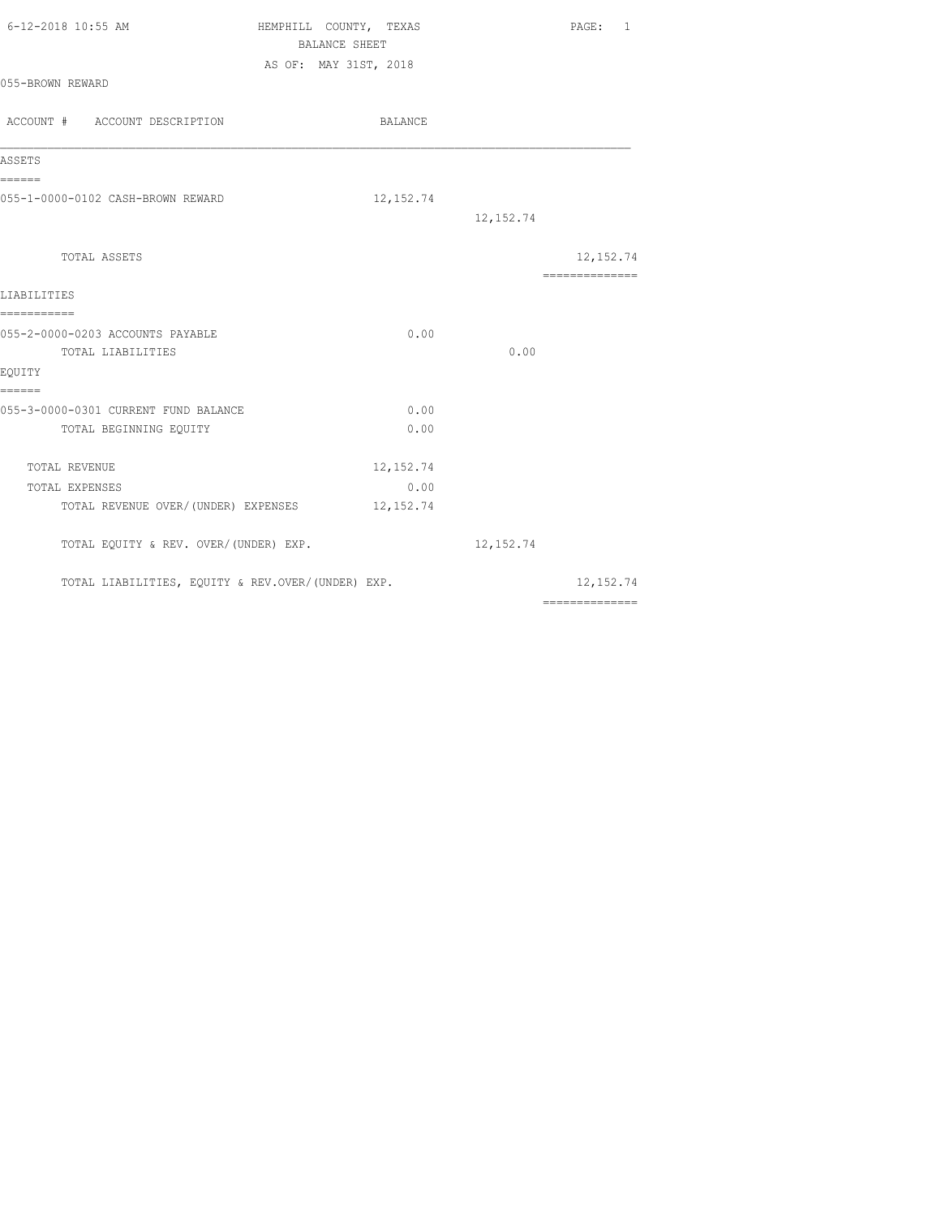| 6-12-2018 10:55 AM | HEMPHILL COUNTY, TEXAS | PAGE: 1 |  |
|--------------------|------------------------|---------|--|
|                    | BALANCE SHEET          |         |  |
|                    | AS OF: MAY 31ST, 2018  |         |  |
| 055-BROWN REWARD   |                        |         |  |

| ACCOUNT # ACCOUNT DESCRIPTION                     | BALANCE    |            |                              |
|---------------------------------------------------|------------|------------|------------------------------|
| ASSETS                                            |            |            |                              |
| ======<br>055-1-0000-0102 CASH-BROWN REWARD       | 12, 152.74 |            |                              |
|                                                   |            | 12, 152.74 |                              |
| TOTAL ASSETS                                      |            |            | 12, 152.74<br>============== |
| LIABILITIES<br>-----------                        |            |            |                              |
| 055-2-0000-0203 ACCOUNTS PAYABLE                  | 0.00       |            |                              |
| TOTAL LIABILITIES                                 |            | 0.00       |                              |
| EQUITY<br>======                                  |            |            |                              |
| 055-3-0000-0301 CURRENT FUND BALANCE              | 0.00       |            |                              |
| TOTAL BEGINNING EQUITY                            | 0.00       |            |                              |
| TOTAL REVENUE                                     | 12, 152.74 |            |                              |
| TOTAL EXPENSES                                    | 0.00       |            |                              |
| TOTAL REVENUE OVER/(UNDER) EXPENSES               | 12, 152.74 |            |                              |
| TOTAL EQUITY & REV. OVER/(UNDER) EXP.             |            | 12, 152.74 |                              |
| TOTAL LIABILITIES, EQUITY & REV.OVER/(UNDER) EXP. |            |            | 12, 152.74                   |
|                                                   |            |            | $2222222222222222$           |